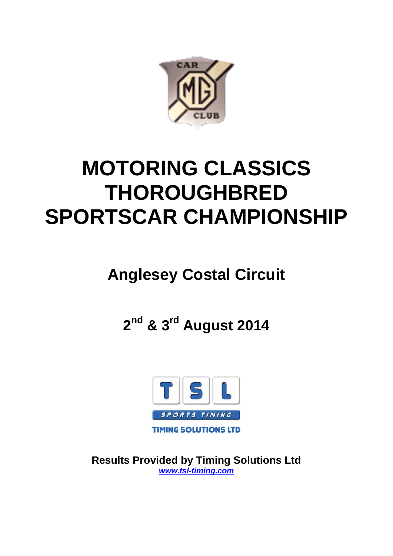

# **MOTORING CLASSICS THOROUGHBRED SPORTSCAR CHAMPIONSHIP**

## **Anglesey Costal Circuit**

**2nd & 3rd August 2014**



**Results Provided by Timing Solutions Ltd** *www.tsl-timing.com*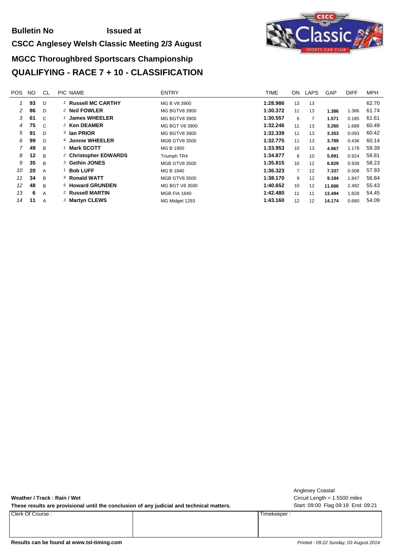#### **Bulletin No Issued at**

#### **CSCC Anglesey Welsh Classic Meeting 2/3 August**

## **MGCC Thoroughbred Sportscars Championship QUALIFYING - RACE 7 + 10 - CLASSIFICATION**



| POS. | NO. | CL             | PIC NAME                         | <b>ENTRY</b>         | <b>TIME</b> | ON              | LAPS | GAP    | <b>DIFF</b> | <b>MPH</b> |
|------|-----|----------------|----------------------------------|----------------------|-------------|-----------------|------|--------|-------------|------------|
|      | 93  | D              | <b>Russell MC CARTHY</b>         | MG B V8 3900         | 1:28.986    | 13              | 13   |        |             | 62.70      |
| 2    | 86  | D              | <sup>2</sup> Neil FOWLER         | MG BGTV8 3900        | 1:30.372    | 11              | 13   | 1.386  | 1.386       | 61.74      |
| 3    | 61  | $\mathcal{C}$  | <b>James WHEELER</b>             | MG BGTV8 3900        | 1:30.557    | 6               |      | 1.571  | 0.185       | 61.61      |
| 4    | 75  | C.             | 2 Ken DEAMER                     | MG BGT V8 3900       | 1:32.246    | 11              | 13   | 3.260  | 1.689       | 60.49      |
| 5    | 91  | D              | 3 Ian PRIOR                      | MG BGTV8 3900        | 1:32.339    | 11              | 13   | 3.353  | 0.093       | 60.42      |
| 6    | 99  | D              | 4 Jonnie WHEELER                 | <b>MGB GTV8 3500</b> | 1:32.775    | 11              | 13   | 3.789  | 0.436       | 60.14      |
|      | 49  | B.             | <b>Mark SCOTT</b>                | MG B 1950            | 1:33.953    | 10              | 13   | 4.967  | 1.178       | 59.39      |
| 8    | 12  | B.             | <sup>2</sup> Christopher EDWARDS | Triumph TR4          | 1:34.877    | 8               | 10   | 5.891  | 0.924       | 58.81      |
| 9    | 35  | $\overline{B}$ | 3 Gethin JONES                   | <b>MGB GTV8 3500</b> | 1:35.815    | 10              | 12   | 6.829  | 0.938       | 58.23      |
| 10   | 20  | A              | <b>Bob LUFF</b>                  | MG B 1840            | 1:36.323    | $\overline{7}$  | 12   | 7.337  | 0.508       | 57.93      |
| 11   | 34  | B              | 4 Ronald WATT                    | <b>MGB GTV8 3500</b> | 1:38.170    | 9               | 12   | 9.184  | 1.847       | 56.84      |
| 12   | 48  | B.             | 5 Howard GRUNDEN                 | MG BGT V8 3500       | 1:40.652    | 10 <sup>1</sup> | 12   | 11.666 | 2.482       | 55.43      |
| 13   | 6   | A              | 2 Russell MARTIN                 | <b>MGB FIA 1840</b>  | 1:42.480    | 11              | 11   | 13.494 | 1.828       | 54.45      |
| 14   | 11  | A              | 3 Martyn CLEWS                   | MG Midget 1293       | 1:43.160    | 12              | 12   | 14.174 | 0.680       | 54.09      |
|      |     |                |                                  |                      |             |                 |      |        |             |            |

**Weather / Track : Rain / Wet**

These results are provisional until the conclusion of any judicial and technical matters. Start: 09:00 Flag 09:19 End: 09:21

Clerk Of Course : Timekeeper :

Circuit Length = 1.5500 miles Anglesey Coastal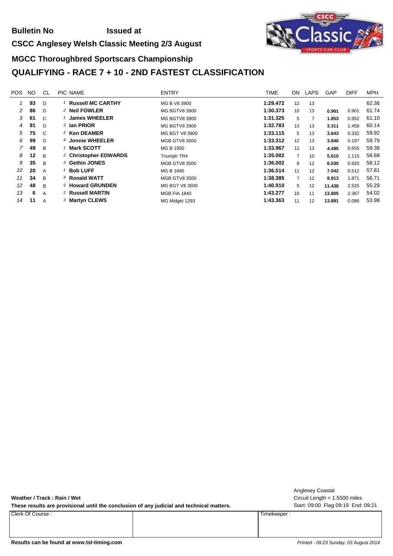#### **Bulletin No Issued at**

#### **CSCC Anglesey Welsh Classic Meeting 2/3 August**

## **MGCC Thoroughbred Sportscars Championship QUALIFYING - RACE 7 + 10 - 2ND FASTEST CLASSIFICATION**

| <b>POS</b> | NO. | CL             | PIC NAME                         | <b>ENTRY</b>         | <b>TIME</b> | ON              | <b>LAPS</b> | GAP    | <b>DIFF</b> | <b>MPH</b> |
|------------|-----|----------------|----------------------------------|----------------------|-------------|-----------------|-------------|--------|-------------|------------|
|            | 93  | D              | 1 Russell MC CARTHY              | MG B V8 3900         | 1:29.472    | 12              | 13          |        |             | 62.36      |
| 2          | 86  | D              | <sup>2</sup> Neil FOWLER         | MG BGTV8 3900        | 1:30.373    | 10              | 13          | 0.901  | 0.901       | 61.74      |
| 3          | 61  | C              | <b>James WHEELER</b>             | MG BGTV8 3900        | 1:31.325    | 5               |             | 1.853  | 0.952       | 61.10      |
| 4          | 91  | D              | 3 Ian PRIOR                      | MG BGTV8 3900        | 1:32.783    | 13              | 13          | 3.311  | 1.458       | 60.14      |
| 5          | 75  | $\mathcal{C}$  | 2 Ken DEAMER                     | MG BGT V8 3900       | 1:33.115    | 5               | 13          | 3.643  | 0.332       | 59.92      |
| 6          | 99  | D              | 4 Jonnie WHEELER                 | <b>MGB GTV8 3500</b> | 1:33.312    | 12              | 13          | 3.840  | 0.197       | 59.79      |
| 7          | 49  | B              | 1 Mark SCOTT                     | MG B 1950            | 1:33.967    | 11              | 13          | 4.495  | 0.655       | 59.38      |
| 8          | 12  | B              | <sup>2</sup> Christopher EDWARDS | Triumph TR4          | 1:35.082    | $\overline{7}$  | 10          | 5.610  | 1.115       | 58.68      |
| 9          | 35  | B              | 3 Gethin JONES                   | <b>MGB GTV8 3500</b> | 1:36.002    | 8               | 12          | 6.530  | 0.920       | 58.12      |
| 10         | 20  | A              | $1$ Bob LUFF                     | MG B 1840            | 1:36.514    | 11              | 12          | 7.042  | 0.512       | 57.81      |
| 11         | 34  | B              | 4 Ronald WATT                    | <b>MGB GTV8 3500</b> | 1:38.385    | $\overline{7}$  | 12          | 8.913  | 1.871       | 56.71      |
| 12         | 48  | B              | 5 Howard GRUNDEN                 | MG BGT V8 3500       | 1:40.910    | 5               | 12          | 11.438 | 2.525       | 55.29      |
| 13         | 6   | $\overline{A}$ | 2 Russell MARTIN                 | <b>MGB FIA 1840</b>  | 1:43.277    | 10 <sup>1</sup> | 11          | 13.805 | 2.367       | 54.02      |
| 14         | 11  | $\overline{A}$ | 3 Martyn CLEWS                   | MG Midget 1293       | 1:43.363    | 11              | 12          | 13.891 | 0.086       | 53.98      |

**Weather / Track : Rain / Wet**

These results are provisional until the conclusion of any judicial and technical matters. Start: 09:00 Flag 09:19 End: 09:21

Clerk Of Course : Timekeeper :

Circuit Length = 1.5500 miles Anglesey Coastal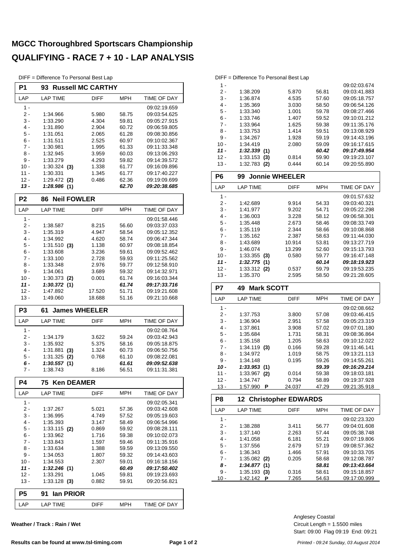#### **MGCC Thoroughbred Sportscars Championship QUALIFYING - RACE 7 + 10 - LAP ANALYSIS**

DIFF = Difference To Personal Best Lap

| P1               | <b>Russell MC CARTHY</b><br>93     |                |                |                              |  |  |
|------------------|------------------------------------|----------------|----------------|------------------------------|--|--|
| LAP              | LAP TIME                           | <b>DIFF</b>    | MPH            | TIME OF DAY                  |  |  |
| $1 -$            |                                    |                |                | 09:02:19.659                 |  |  |
| 2 -              | 1:34.966                           | 5.980          | 58.75          | 09:03:54.625                 |  |  |
| 3 -              | 1:33.290                           | 4.304          | 59.81          | 09:05:27.915                 |  |  |
| $4 -$            | 1:31.890                           | 2.904          | 60.72          | 09:06:59.805                 |  |  |
| 5 -              | 1:31.051                           | 2.065          | 61.28          | 09:08:30.856                 |  |  |
| 6 -              | 1:31.511                           | 2.525          | 60.97          | 09:10:02.367                 |  |  |
| $7 -$            | 1:30.981                           | 1.995          | 61.33          | 09:11:33.348                 |  |  |
| 8 -              | 1:32.945                           | 3.959          | 60.03          | 09:13:06.293                 |  |  |
| 9 -              | 1:33.279                           | 4.293          | 59.82          | 09:14:39.572                 |  |  |
| $10 -$           | 1:30.324<br>(3)                    | 1.338          | 61.77          | 09:16:09.896                 |  |  |
| $11 -$<br>$12 -$ | 1:30.331                           | 1.345          | 61.77<br>62.36 | 09:17:40.227<br>09:19:09.699 |  |  |
| 13 -             | 1:29.472 (2)<br>1:28.986(1)        | 0.486          | 62.70          | 09:20:38.685                 |  |  |
|                  |                                    |                |                |                              |  |  |
| P <sub>2</sub>   | <b>Neil FOWLER</b><br>86           |                |                |                              |  |  |
| LAP              | <b>LAP TIME</b>                    | <b>DIFF</b>    | MPH            | TIME OF DAY                  |  |  |
| 1 -              |                                    |                |                | 09:01:58.446                 |  |  |
| 2 -              | 1:38.587                           | 8.215          | 56.60          | 09:03:37.033                 |  |  |
| 3 -              | 1:35.319                           | 4.947          | 58.54          | 09:05:12.352                 |  |  |
| 4 -              | 1:34.992                           | 4.620          | 58.74          | 09:06:47.344                 |  |  |
| 5 -              | 1:31.510<br>(3)                    | 1.138          | 60.97          | 09:08:18.854                 |  |  |
| 6 -              | 1:33.608                           | 3.236          | 59.61          | 09:09:52.462                 |  |  |
| $7 -$            | 1:33.100                           | 2.728          | 59.93          | 09:11:25.562                 |  |  |
| 8 -<br>$9 -$     | 1:33.348<br>1:34.061               | 2.976<br>3.689 | 59.77<br>59.32 | 09:12:58.910<br>09:14:32.971 |  |  |
| $10 -$           |                                    |                | 61.74          |                              |  |  |
| 11 -             | 1:30.373<br>(2)<br>1:30.372<br>(1) | 0.001          | 61.74          | 09:16:03.344<br>09:17:33.716 |  |  |
| $12 -$           | 1:47.892                           | 17.520         | 51.71          | 09:19:21.608                 |  |  |
| $13 -$           | 1:49.060                           | 18.688         | 51.16          | 09:21:10.668                 |  |  |
|                  |                                    |                |                |                              |  |  |
| P3               | <b>James WHEELER</b><br>61         |                |                |                              |  |  |
| LAP              | <b>LAP TIME</b>                    | <b>DIFF</b>    | <b>MPH</b>     | <b>TIME OF DAY</b>           |  |  |
| $1 -$            |                                    |                |                | 09:02:08.764                 |  |  |
| 2 -              | 1:34.179                           | 3.622          | 59.24          | 09:03:42.943                 |  |  |
| 3 -              | 1:35.932                           | 5.375          | 58.16          | 09:05:18.875                 |  |  |
| $4 -$            | 1:31.881<br>(3)                    | 1.324          | 60.73          | 09:06:50.756                 |  |  |
| 5 -              | 1:31.325<br>(2)                    | 0.768          | 61.10          | 09:08:22.081                 |  |  |
| 6 -              | 1:30.557(1)                        |                | 61.61          | 09:09:52.638                 |  |  |
| 7 -              | 1:38.743                           | 8.186          | 56.51          | 09:11:31.381                 |  |  |
| P4               | <b>Ken DEAMER</b><br>75            |                |                |                              |  |  |
| LAP              | LAP TIME                           | <b>DIFF</b>    | MPH            | TIME OF DAY                  |  |  |
| 1 -              |                                    |                |                | 09:02:05.341                 |  |  |
| 2 -              | 1:37.267                           | 5.021          | 57.36          | 09:03:42.608                 |  |  |
| 3 -              | 1:36.995                           | 4.749          | 57.52          | 09:05:19.603                 |  |  |
| 4 -              | 1:35.393                           | 3.147          | 58.49          | 09:06:54.996                 |  |  |
| 5 -              | $1:33.115$ (2)                     | 0.869          | 59.92          | 09:08:28.111                 |  |  |
| $6 -$            | 1:33.962                           | 1.716          | 59.38<br>59.46 | 09:10:02.073                 |  |  |
| $7 -$            | 1:33.843                           | 1.597          | 09:11:35.916   |                              |  |  |
| 8 -              | 1:33.634                           | 1.388          | 09:13:09.550   |                              |  |  |
| 9 -              | 1:34.053                           | 1.807          | 09:14:43.603   |                              |  |  |
| 10 -             | 1:34.553                           | 2.307          | 59.01          | 09:16:18.156                 |  |  |
| $11 -$           | 1:32.246 (1)                       |                | 60.49          | <i><b>09:17:50.402</b></i>   |  |  |
| 12 -             | 1:33.291                           | 1.045          | 59.81          | 09:19:23.693                 |  |  |
| 13 -             | $1:33.128$ (3)                     | 0.882          | 59.91          | 09:20:56.821                 |  |  |
| P5               | 91<br><b>Ian PRIOR</b>             |                |                |                              |  |  |
| LAP              | <b>LAP TIME</b>                    | DIFF           | MPH            | TIME OF DAY                  |  |  |

**Weather / Track : Rain / Wet**

#### DIFF = Difference To Personal Best Lap

| DС     | Ionnio WUEEL<br>ഹ |       |       |              |
|--------|-------------------|-------|-------|--------------|
| $13 -$ | 1:32.783<br>(2)   | 0.444 | 60.14 | 09:20:55.890 |
| $12 -$ | 1:33.153<br>(3)   | 0.814 | 59.90 | 09:19:23.107 |
| $11 -$ | 1:32.339(1)       |       | 60.42 | 09:17:49.954 |
| $10 -$ | 1:34.419          | 2.080 | 59.09 | 09:16:17.615 |
| 9 -    | 1:34.267          | 1.928 | 59.19 | 09:14:43.196 |
| 8 -    | 1:33.753          | 1.414 | 59.51 | 09:13:08.929 |
| 7 -    | 1:33.964          | 1.625 | 59.38 | 09:11:35.176 |
| $6 -$  | 1:33.746          | 1.407 | 59.52 | 09:10:01.212 |
| 5 -    | 1:33.340          | 1.001 | 59.78 | 09:08:27.466 |
| 4 -    | 1:35.369          | 3.030 | 58.50 | 09:06:54.126 |
| $3 -$  | 1:36.874          | 4.535 | 57.60 | 09:05:18.757 |
| 2 -    | 1:38.209          | 5.870 | 56.81 | 09:03:41.883 |
| 1 -    |                   |       |       | 09:02:03.674 |
|        |                   |       |       |              |

| ۲ь     | 99<br><b>JONNIE WHEELER</b> |             |            |              |
|--------|-----------------------------|-------------|------------|--------------|
| LAP    | <b>LAP TIME</b>             | <b>DIFF</b> | <b>MPH</b> | TIME OF DAY  |
| 1 -    |                             |             |            | 09:01:57.632 |
| $2 -$  | 1:42.689                    | 9.914       | 54.33      | 09:03:40.321 |
| $3 -$  | 1:41.977                    | 9.202       | 54.71      | 09:05:22.298 |
| $4 -$  | 1:36.003                    | 3.228       | 58.12      | 09:06:58.301 |
| $5 -$  | 1:35.448                    | 2.673       | 58.46      | 09:08:33.749 |
| $6 -$  | 1:35.119                    | 2.344       | 58.66      | 09:10:08.868 |
| $7 -$  | 1:35.162                    | 2.387       | 58.63      | 09:11:44.030 |
| $8 -$  | 1:43.689                    | 10.914      | 53.81      | 09:13:27.719 |
| $9 -$  | 1:46.074                    | 13.299      | 52.60      | 09:15:13.793 |
| 10 -   | $1:33.355$ (3)              | 0.580       | 59.77      | 09:16:47.148 |
| 11 -   | 1:32.775(1)                 |             | 60.14      | 09:18:19.923 |
| 12 -   | $1:33.312$ (2)              | 0.537       | 59.79      | 09:19:53.235 |
| $13 -$ | 1:35.370                    | 2.595       | 58.50      | 09:21:28.605 |

| P7     | <b>Mark SCOTT</b><br>49.      |             |       |              |  |  |  |  |  |  |  |  |  |  |
|--------|-------------------------------|-------------|-------|--------------|--|--|--|--|--|--|--|--|--|--|
| LAP    | <b>LAP TIME</b>               | <b>DIFF</b> | MPH   | TIME OF DAY  |  |  |  |  |  |  |  |  |  |  |
| 1 -    |                               |             |       | 09:02:08.662 |  |  |  |  |  |  |  |  |  |  |
| $2 -$  | 1:37.753                      | 3.800       | 57.08 | 09:03:46.415 |  |  |  |  |  |  |  |  |  |  |
| $3 -$  | 1:36.904                      | 2.951       | 57.58 | 09:05:23.319 |  |  |  |  |  |  |  |  |  |  |
| 4 -    | 1:37.861                      | 3.908       | 57.02 | 09:07:01.180 |  |  |  |  |  |  |  |  |  |  |
| 5 -    | 1:35.684                      | 1.731       | 58.31 | 09:08:36.864 |  |  |  |  |  |  |  |  |  |  |
| 6 -    | 1:35.158                      | 1.205       | 58.63 | 09:10:12.022 |  |  |  |  |  |  |  |  |  |  |
| 7 -    | 1:34.119<br>(3)               | 0.166       | 59.28 | 09:11:46.141 |  |  |  |  |  |  |  |  |  |  |
| 8 -    | 1:34.972                      | 1.019       | 58.75 | 09:13:21.113 |  |  |  |  |  |  |  |  |  |  |
| $9 -$  | 1:34.148                      | 0.195       | 59.26 | 09:14:55.261 |  |  |  |  |  |  |  |  |  |  |
| 10 -   | 1:33.953<br>(1)               |             | 59.39 | 09:16:29.214 |  |  |  |  |  |  |  |  |  |  |
| 11 -   | 1:33.967<br>(2)               | 0.014       | 59.38 | 09:18:03.181 |  |  |  |  |  |  |  |  |  |  |
| $12 -$ | 1:34.747                      | 0.794       | 58.89 | 09:19:37.928 |  |  |  |  |  |  |  |  |  |  |
| 13 -   | 1:57.990<br>Р                 | 24.037      | 47.29 | 09:21:35.918 |  |  |  |  |  |  |  |  |  |  |
| P8     | <b>12 Christopher EDWARDS</b> |             |       |              |  |  |  |  |  |  |  |  |  |  |
|        |                               |             |       |              |  |  |  |  |  |  |  |  |  |  |

| ۲ŏ     | <b>12 Christopher EDWARDS</b> |             |            |              |  |  |  |  |  |  |  |  |  |
|--------|-------------------------------|-------------|------------|--------------|--|--|--|--|--|--|--|--|--|
| LAP    | LAP TIME                      | <b>DIFF</b> | <b>MPH</b> | TIME OF DAY  |  |  |  |  |  |  |  |  |  |
| 1 -    |                               |             |            | 09:02:23.320 |  |  |  |  |  |  |  |  |  |
| 2.     | 1:38.288                      | 3.411       | 56.77      | 09:04:01.608 |  |  |  |  |  |  |  |  |  |
| $3 -$  | 1:37.140                      | 2.263       | 57.44      | 09:05:38.748 |  |  |  |  |  |  |  |  |  |
| 4 -    | 1:41.058                      | 6.181       | 55.21      | 09:07:19.806 |  |  |  |  |  |  |  |  |  |
| $5 -$  | 1:37.556                      | 2.679       | 57.19      | 09:08:57.362 |  |  |  |  |  |  |  |  |  |
| 6 -    | 1:36.343                      | 1.466       | 57.91      | 09:10:33.705 |  |  |  |  |  |  |  |  |  |
| 7 -    | $1:35.082$ (2)                | 0.205       | 58.68      | 09:12:08.787 |  |  |  |  |  |  |  |  |  |
| 8 -    | 1:34.877<br>(1)               |             | 58.81      | 09:13:43.664 |  |  |  |  |  |  |  |  |  |
| 9 -    | 1:35.193<br>(3)               | 0.316       | 58.61      | 09:15:18.857 |  |  |  |  |  |  |  |  |  |
| $10 -$ | 1:42.142<br>Р                 | 7.265       | 54.63      | 09:17:00.999 |  |  |  |  |  |  |  |  |  |

Start: 09:00 Flag 09:19 End: 09:21 Circuit Length = 1.5500 miles Anglesey Coastal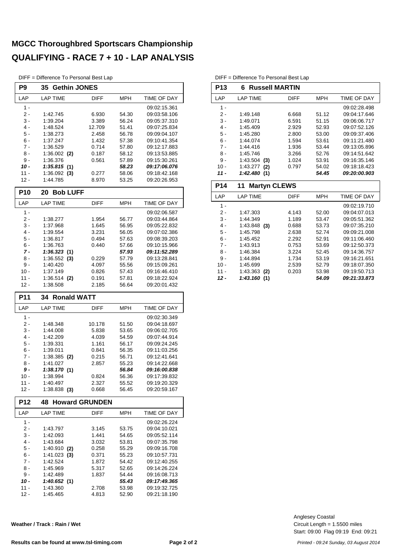#### **MGCC Thoroughbred Sportscars Championship QUALIFYING - RACE 7 + 10 - LAP ANALYSIS**

DIFF = Difference To Personal Best Lap

| P <sub>9</sub> | <b>Gethin JONES</b><br>35      |                       |                |                              |
|----------------|--------------------------------|-----------------------|----------------|------------------------------|
| LAP            | <b>LAP TIME</b>                | <b>DIFF</b>           | MPH            | TIME OF DAY                  |
| 1 -            |                                |                       |                | 09:02:15.361                 |
| 2 -            | 1:42.745                       | 6.930                 | 54.30          | 09:03:58.106                 |
| 3 -            | 1:39.204                       | 3.389                 | 56.24          | 09:05:37.310                 |
| $4 -$          | 1:48.524                       | 12.709                | 51.41          | 09:07:25.834                 |
| 5 -            | 1:38.273                       | 2.458                 | 56.78          | 09:09:04.107                 |
| $6 -$          | 1:37.247                       | 1.432                 | 57.38          | 09:10:41.354                 |
| $7 -$          | 1:36.529                       | 0.714                 | 57.80          | 09:12:17.883                 |
| 8 -            | $1:36.002$ (2)                 | 0.187                 | 58.12          | 09:13:53.885                 |
| 9 -            | 1:36.376                       | 0.561                 | 57.89          | 09:15:30.261                 |
| 10 -           | 1:35.815(1)                    |                       | 58.23          | 09:17:06.076                 |
| $11 -$         | $1:36.092$ (3)                 | 0.277                 | 58.06          | 09:18:42.168                 |
| $12 -$         | 1:44.785                       | 8.970                 | 53.25          | 09:20:26.953                 |
| <b>P10</b>     | <b>Bob LUFF</b><br>20          |                       |                |                              |
| LAP            | <b>LAP TIME</b>                | <b>DIFF</b>           | <b>MPH</b>     | TIME OF DAY                  |
| $1 -$          |                                |                       |                | 09:02:06.587                 |
| 2 -            | 1:38.277                       | 1.954                 | 56.77          | 09:03:44.864                 |
| 3 -            | 1:37.968                       | 1.645                 | 56.95          | 09:05:22.832                 |
| 4 -            | 1:39.554                       | 3.231                 | 56.05          | 09:07:02.386                 |
| 5 -            | 1:36.817                       | 0.494                 | 57.63          | 09:08:39.203                 |
| 6 -<br>$7 -$   | 1:36.763<br>1:36.323(1)        | 0.440                 | 57.66          | 09:10:15.966<br>09:11:52.289 |
| 8 -            |                                | 0.229                 | 57.93<br>57.79 | 09:13:28.841                 |
| $9 -$          | $1:36.552$ (3)<br>1:40.420     | 4.097                 | 55.56          | 09:15:09.261                 |
| $10 -$         | 1:37.149                       | 0.826                 | 57.43          | 09:16:46.410                 |
| 11 -           | 1:36.514 (2)                   | 0.191                 | 57.81          | 09:18:22.924                 |
| 12 -           | 1:38.508                       | 2.185                 | 56.64          | 09:20:01.432                 |
|                |                                |                       |                |                              |
| P11            | <b>Ronald WATT</b><br>34       |                       |                |                              |
| LAP            | LAP TIME                       | DIFF                  | MPH            | TIME OF DAY                  |
| $1 -$          |                                |                       |                | 09:02:30.349                 |
| 2 -            | 1:48.348                       | 10.178                | 51.50          | 09:04:18.697                 |
| 3 -            | 1:44.008                       | 5.838                 | 53.65          | 09:06:02.705                 |
| 4 -            | 1:42.209                       | 4.039                 | 54.59          | 09:07:44.914                 |
| 5 -            | 1:39.331                       | 1.161                 | 56.17          | 09:09:24.245                 |
| 6 -            | 1:39.011                       | 0.841                 | 56.35          | 09:11:03.256                 |
| 7 -            | $1:38.385$ (2)                 | 0.215                 | 56.71          | 09:12:41.641                 |
| 8 -            | 1:41.027                       | 2.857                 | 55.23          | 09:14:22.668                 |
| 9 -            | 1:38.170(1)                    |                       | 56.84          | 09:16:00.838                 |
| 10 -           | 1:38.994                       | 0.824                 | 56.36          | 09:17:39.832                 |
| 11 -<br>$12 -$ | 1:40.497<br>$1:38.838$ (3)     | 2.327<br>0.668        | 55.52<br>56.45 | 09:19:20.329<br>09:20:59.167 |
| <b>P12</b>     | 48                             | <b>Howard GRUNDEN</b> |                |                              |
| LAP            | LAP TIME                       | DIFF                  | MPH            | TIME OF DAY                  |
| $1 -$          |                                |                       |                |                              |
|                |                                |                       |                | 09:02:26.224                 |
| $2 -$<br>3 -   | 1:43.797<br>1:42.093           | 3.145<br>1.441        | 53.75<br>54.65 | 09:04:10.021<br>09:05:52.114 |
| $4 -$          | 1:43.684                       | 3.032                 | 53.81          | 09:07:35.798                 |
| $5 -$          |                                | 0.258                 | 55.29          | 09:09:16.708                 |
| 6 -            | $1:40.910$ (2)<br>1:41.023 (3) | 0.371                 | 55.23          | 09:10:57.731                 |
| 7 -            | 1:42.524                       | 1.872                 | 54.42          | 09:12:40.255                 |
| 8 -            | 1:45.969                       | 5.317                 | 52.65          | 09:14:26.224                 |
| 9 -            | 1:42.489                       | 1.837                 | 54.44          | 09:16:08.713                 |
| 10 -           | 1:40.652(1)                    |                       | 55.43          | 09:17:49.365                 |
| $11 -$<br>12 - | 1:43.360<br>1:45.465           | 2.708                 | 53.98<br>52.90 | 09:19:32.725<br>09:21:18.190 |

**Weather / Track : Rain / Wet**

#### DIFF = Difference To Personal Best Lap

 $\overline{\phantom{a}}$ 

| P13        | <b>Russell MARTIN</b><br>6  |             |                |              |
|------------|-----------------------------|-------------|----------------|--------------|
| LAP        | <b>LAP TIME</b>             | <b>DIFF</b> | <b>MPH</b>     | TIME OF DAY  |
| $1 -$      |                             |             |                | 09:02:28.498 |
| $2-$       | 1:49.148                    | 6.668       | 51.12          | 09:04:17.646 |
| $3 -$      | 1:49.071                    | 6.591       | 51.15          | 09:06:06.717 |
| $4 -$      | 1:45.409                    | 2.929       | 52.93          | 09:07:52.126 |
| $5 -$      | 1:45.280                    | 2.800       | 53.00          | 09:09:37.406 |
| $6 -$      | 1:44.074                    | 1.594       | 53.61          | 09:11:21.480 |
| $7 -$      | 1:44.416                    | 1.936       | 53.44          | 09:13:05.896 |
| $8 -$      | 1:45.746                    | 3.266       | 52.76          | 09:14:51.642 |
| $9 -$      | 1:43.504<br>(3)             | 1.024       | 53.91          | 09:16:35.146 |
| $10 -$     | 1:43.277<br>(2)             | 0.797       | 54.02          | 09:18:18.423 |
| $11 -$     | 1:42.480(1)                 |             | 54.45          | 09:20:00.903 |
| <b>P14</b> | <b>Martyn CLEWS</b><br>11   |             |                |              |
|            |                             |             |                |              |
| LAP        | <b>LAP TIME</b>             | <b>DIFF</b> | MPH            | TIME OF DAY  |
| $1 -$      |                             |             |                | 09:02:19.710 |
| $2 -$      | 1:47.303                    | 4.143       | 52.00          | 09:04:07.013 |
| $3 -$      | 1:44.349                    | 1.189       | 53.47          | 09:05:51.362 |
| $4 -$      | $1:43.848$ (3)              | 0.688       | 53.73          | 09:07:35.210 |
| $5 -$      | 1:45.798                    | 2.638       | 52.74          | 09:09:21.008 |
| $6 -$      | 1:45.452                    | 2.292       | 52.91          | 09:11:06.460 |
| $7 -$      | 1:43.913                    | 0.753       | 53.69          | 09:12:50.373 |
| $8 -$      | 1:46.384                    | 3.224       | 52.45          | 09:14:36.757 |
| $9 -$      | 1:44.894                    | 1.734       | 53.19          | 09:16:21.651 |
| $10 -$     | 1:45.699                    | 2.539       | 52.79          | 09:18:07.350 |
| $11 -$     | 1:43.363<br>(2)<br>1:43.160 | 0.203       | 53.98<br>54.09 | 09:19:50.713 |

Start: 09:00 Flag 09:19 End: 09:21 Circuit Length = 1.5500 miles Anglesey Coastal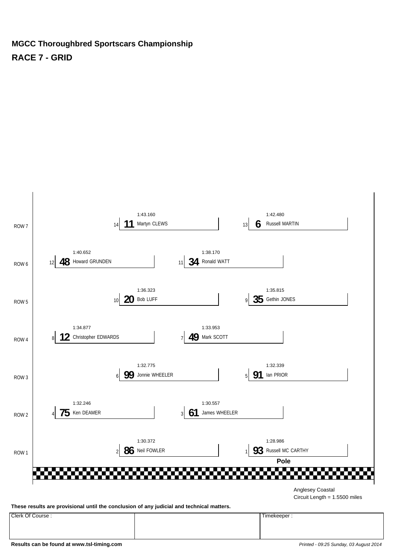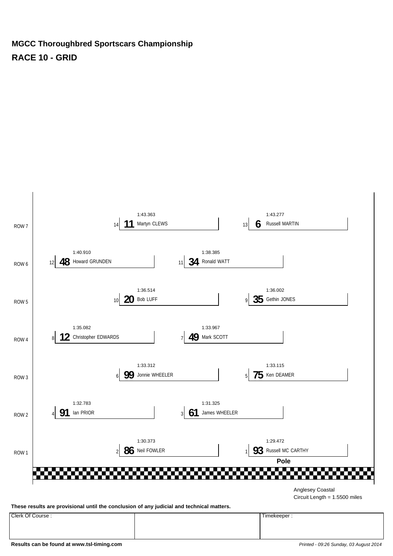

Clerk Of Course : Timekeeper :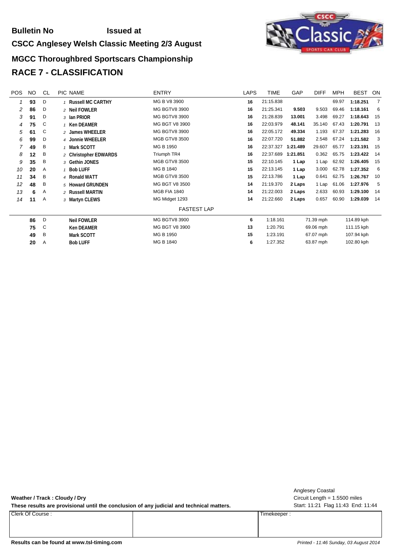#### **Bulletin No Issued at**

#### **CSCC Anglesey Welsh Classic Meeting 2/3 August**

# izzi



| <b>POS</b> | NO. | <b>CL</b>    | PIC NAME                 | <b>ENTRY</b>         | <b>LAPS</b> | TIME      | GAP       | <b>DIFF</b> | <b>MPH</b> | <b>BEST</b> | ON             |
|------------|-----|--------------|--------------------------|----------------------|-------------|-----------|-----------|-------------|------------|-------------|----------------|
|            | 93  | D            | <b>Russell MC CARTHY</b> | MG B V8 3900         | 16          | 21:15.838 |           |             | 69.97      | 1:18.251    | $\overline{7}$ |
| 2          | 86  | D            | 2 Neil FOWLER            | <b>MG BGTV8 3900</b> | 16          | 21:25.341 | 9.503     | 9.503       | 69.46      | 1:18.161    | 6              |
| 3          | 91  | D            | 3 Ian PRIOR              | <b>MG BGTV8 3900</b> | 16          | 21:28.839 | 13.001    | 3.498       | 69.27      | 1:18.643    | 15             |
| 4          | 75  | C            | 1 Ken DEAMER             | MG BGT V8 3900       | 16          | 22:03.979 | 48.141    | 35.140      | 67.43      | 1:20.791    | 13             |
| 5          | 61  | C            | 2 James WHEELER          | <b>MG BGTV8 3900</b> | 16          | 22:05.172 | 49.334    | 1.193       | 67.37      | 1:21.283    | 16             |
| 6          | 99  | D            | 4 Jonnie WHEELER         | <b>MGB GTV8 3500</b> | 16          | 22:07.720 | 51.882    | 2.548       | 67.24      | 1:21.582    | $\mathbf{3}$   |
| 7          | 49  | B            | 1 Mark SCOTT             | MG B 1950            | 16          | 22:37.327 | 1:21.489  | 29.607      | 65.77      | 1:23.191    | 15             |
| 8          | 12  | B            | 2 Christopher EDWARDS    | Triumph TR4          | 16          | 22:37.689 | 1:21.851  | 0.362       | 65.75      | 1:23.422    | 14             |
| 9          | 35  | B            | 3 Gethin JONES           | <b>MGB GTV8 3500</b> | 15          | 22:10.145 | 1 Lap     | 1 Lap       | 62.92      | 1:26.405    | 15             |
| 10         | 20  | Α            | 1 Bob LUFF               | MG B 1840            | 15          | 22:13.145 | 1 Lap     | 3.000       | 62.78      | 1:27.352    | - 6            |
| 11         | 34  | B            | 4 Ronald WATT            | <b>MGB GTV8 3500</b> | 15          | 22:13.786 | 1 Lap     | 0.641       | 62.75      | 1:26.767    | 10             |
| 12         | 48  | B            | 5 Howard GRUNDEN         | MG BGT V8 3500       | 14          | 21:19.370 | 2 Laps    | 1 Lap       | 61.06      | 1:27.976    | 5              |
| 13         | 6   | Α            | 2 Russell MARTIN         | <b>MGB FIA 1840</b>  | 14          | 21:22.003 | 2 Laps    | 2.633       | 60.93      | 1:29.100    | 14             |
| 14         | 11  | Α            | 3 Martyn CLEWS           | MG Midget 1293       | 14          | 21:22.660 | 2 Laps    | 0.657       | 60.90      | 1:29.039    | 14             |
|            |     |              |                          | <b>FASTEST LAP</b>   |             |           |           |             |            |             |                |
|            | 86  | $\mathsf{D}$ | <b>Neil FOWLER</b>       | <b>MG BGTV8 3900</b> | 6           | 1:18.161  |           | 71.39 mph   |            | 114.89 kph  |                |
|            | 75  | C            | <b>Ken DEAMER</b>        | MG BGT V8 3900       | 13          | 1:20.791  |           | 69.06 mph   | 111.15 kph |             |                |
|            | 49  | B            | Mark SCOTT               | MG B 1950            | 15          | 1:23.191  | 67.07 mph |             | 107.94 kph |             |                |
|            | 20  | A            | <b>Bob LUFF</b>          | MG B 1840            | 6           | 1:27.352  |           | 63.87 mph   |            | 102.80 kph  |                |

**Weather / Track : Cloudy / Dry**

These results are provisional until the conclusion of any judicial and technical matters. Start: 11:21 Flag 11:43 End: 11:44

Clerk Of Course : Timekeeper :

Circuit Length = 1.5500 miles Anglesey Coastal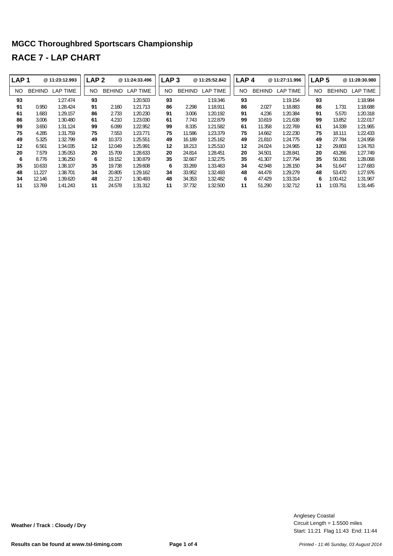| LAP <sub>1</sub> |               | @ 11:23:12.993 | LAP <sub>2</sub> |               | @11:24:33.496   | LAP <sub>3</sub> |               | @ 11:25:52.842  | LAP <sub>4</sub> |               | @ 11:27:11.996  | LAP <sub>5</sub> |               | @11:28:30.980   |
|------------------|---------------|----------------|------------------|---------------|-----------------|------------------|---------------|-----------------|------------------|---------------|-----------------|------------------|---------------|-----------------|
| NO.              | <b>BEHIND</b> | LAP TIME       | NO.              | <b>BEHIND</b> | <b>LAP TIME</b> | NO.              | <b>BEHIND</b> | <b>LAP TIME</b> | NO.              | <b>BEHIND</b> | <b>LAP TIME</b> | NO               | <b>BEHIND</b> | <b>LAP TIME</b> |
| 93               |               | 1:27.474       | 93               |               | 1:20.503        | 93               |               | 1:19.346        | 93               |               | 1:19.154        | 93               |               | 1:18.984        |
| 91               | 0.950         | 1:28.424       | 91               | 2.160         | 1:21.713        | 86               | 2.298         | 1:18.911        | 86               | 2.027         | 1:18.883        | 86               | 1.731         | 1:18.688        |
| 61               | 1.683         | 1:29.157       | 86               | 2.733         | 1:20.230        | 91               | 3.006         | 1:20.192        | 91               | 4.236         | 1:20.384        | 91               | 5.570         | 1:20.318        |
| 86               | 3.006         | 1:30.480       | 61               | 4.210         | 1:23.030        | 61               | 7.743         | 1:22.879        | 99               | 10.819        | 1:21.638        | 99               | 13.852        | 1:22.017        |
| 99               | 3.650         | 1:31.124       | 99               | 6.099         | 1:22.952        | 99               | 8.335         | 1:21.582        | 61               | 11.358        | 1:22.769        | 61               | 14.339        | 1:21.965        |
| 75               | 4.285         | 1:31.759       | 75               | 7.553         | 1:23.771        | 75               | 11.586        | 1:23.379        | 75               | 14.662        | 1:22.230        | 75               | 18.111        | 1:22.433        |
| 49               | 5.325         | 1:32.799       | 49               | 10.373        | 1:25.551        | 49               | 16.189        | 1:25.162        | 49               | 21.810        | 1:24.775        | 49               | 27.784        | 1:24.958        |
| 12               | 6.561         | 1:34.035       | 12               | 12.049        | 1:25.991        | 12               | 18.213        | 1:25.510        | 12               | 24.024        | 1:24.965        | 12               | 29.803        | 1:24.763        |
| 20               | 7.579         | 1:35.053       | 20               | 15.709        | 1:28.633        | 20               | 24.814        | 1:28.451        | 20               | 34.501        | 1:28.841        | 20               | 43.266        | 1:27.749        |
| 6                | 8.776         | 1:36.250       | 6                | 19.152        | 1:30.879        | 35               | 32.667        | 1:32.275        | 35               | 41.307        | 1:27.794        | 35               | 50.391        | 1:28.068        |
| 35               | 10.633        | 1:38.107       | 35               | 19.738        | 1:29.608        | 6                | 33.269        | 1:33.463        | 34               | 42.948        | 1:28.150        | 34               | 51.647        | 1:27.683        |
| 48               | 11.227        | 1:38.701       | 34               | 20.805        | 1:29.162        | 34               | 33.952        | 1:32.493        | 48               | 44.478        | 1:29.279        | 48               | 53.470        | 1:27.976        |
| 34               | 12.146        | 1:39.620       | 48               | 21.217        | 1:30.493        | 48               | 34.353        | 1:32.482        | 6                | 47.429        | 1:33.314        | 6                | 1:00.412      | 1:31.967        |
| 11               | 13.769        | 1:41.243       | 11               | 24.578        | 1:31.312        | 11               | 37.732        | 1:32.500        | 11               | 51.290        | 1:32.712        | 11               | 1:03.751      | 1:31.445        |

Start: 11:21 Flag 11:43 End: 11:44 Circuit Length = 1.5500 miles Anglesey Coastal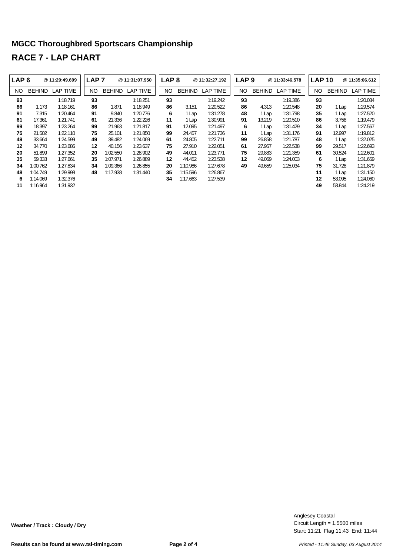| LAP <sub>6</sub> |               | @ 11:29:49.699 | LAP <sub>7</sub> |               | @11:31:07.950   | LAP <sub>8</sub> |               | @11:32:27.192 | LAP <sub>9</sub> |               | @11:33:46.578   | <b>LAP 10</b> |               | @11:35:06.612   |
|------------------|---------------|----------------|------------------|---------------|-----------------|------------------|---------------|---------------|------------------|---------------|-----------------|---------------|---------------|-----------------|
| NO.              | <b>BEHIND</b> | LAP TIME       | NO.              | <b>BEHIND</b> | <b>LAP TIME</b> | NO               | <b>BEHIND</b> | LAP TIME      | NO.              | <b>BEHIND</b> | <b>LAP TIME</b> | NO.           | <b>BEHIND</b> | <b>LAP TIME</b> |
| 93               |               | 1:18.719       | 93               |               | 1:18.251        | 93               |               | 1:19.242      | 93               |               | 1:19.386        | 93            |               | 1:20.034        |
| 86               | 1.173         | 1:18.161       | 86               | 1.871         | 1:18.949        | 86               | 3.151         | 1:20.522      | 86               | 4.313         | 1:20.548        | 20            | 1 Lap         | 1:29.574        |
| 91               | 7.315         | 1:20.464       | 91               | 9.840         | 1:20.776        | 6                | 1 Lap         | 1:31.278      | 48               | 1 Lap         | 1:31.798        | 35            | 1 Lap         | 1:27.520        |
| 61               | 17.361        | 1:21.741       | 61               | 21.336        | 1:22.226        | 11               | 1 Lap         | 1:30.991      | 91               | 13.219        | 1:20.510        | 86            | 3.758         | 1:19.479        |
| 99               | 18.397        | 1:23.264       | 99               | 21.963        | 1:21.817        | 91               | 12.095        | 1:21.497      | 6                | 1 Lap         | 1:31.429        | 34            | 1 Lap         | 1:27.567        |
| 75               | 21.502        | 1:22.110       | 75               | 25.101        | 1:21.850        | 99               | 24.457        | 1:21.736      | 11               | 1 Lap         | 1:31.176        | 91            | 12.997        | 1:19.812        |
| 49               | 33.664        | 1:24.599       | 49               | 39.482        | 1:24.069        | 61               | 24.805        | 1:22.711      | 99               | 26.858        | 1:21.787        | 48            | 1 Lap         | 1:32.025        |
| 12               | 34.770        | 1:23.686       | 12               | 40.156        | 1:23.637        | 75               | 27.910        | 1:22.051      | 61               | 27.957        | 1:22.538        | 99            | 29.517        | 1:22.693        |
| 20               | 51.899        | 1:27.352       | 20               | 1:02.550      | 1:28.902        | 49               | 44.011        | 1:23.771      | 75               | 29.883        | 1:21.359        | 61            | 30.524        | 1:22.601        |
| 35               | 59.333        | 1:27.661       | 35               | 1:07.971      | 1:26.889        | 12               | 44.452        | 1:23.538      | 12               | 49.069        | 1:24.003        | 6             | 1 Lap         | 1:31.659        |
| 34               | 1:00.762      | 1:27.834       | 34               | 1:09.366      | 1:26.855        | 20               | 1:10.986      | 1:27.678      | 49               | 49.659        | 1:25.034        | 75            | 31.728        | 1:21.879        |
| 48               | 1:04.749      | 1:29.998       | 48               | 1:17.938      | 1:31.440        | 35               | 1:15.596      | 1:26.867      |                  |               |                 | 11            | 1 Lap         | 1:31.150        |
| 6                | 1:14.069      | 1:32.376       |                  |               |                 | 34               | 1:17.663      | 1:27.539      |                  |               |                 | 12            | 53.095        | 1:24.060        |
| 11               | 1:16.964      | 1:31.932       |                  |               |                 |                  |               |               |                  |               |                 | 49            | 53.844        | 1:24.219        |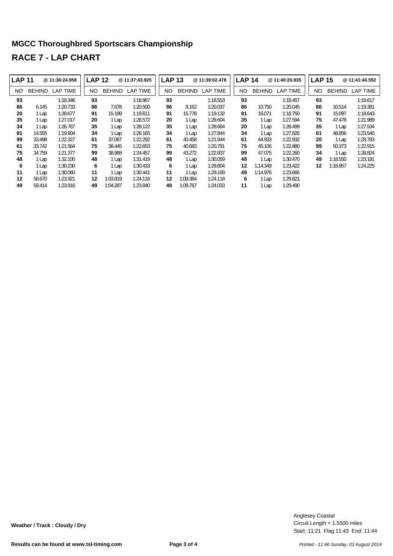| <b>LAP 11</b> |               | @ 11:36:24.958 | <b>LAP 12</b> |               | @ 11:37:43.925  | <b>LAP 13</b> |               | @11:39:02.478   | <b>LAP 14</b> |               | @11:40:20.935   |     | <b>LAP 15</b> | @11:41:40.552   |
|---------------|---------------|----------------|---------------|---------------|-----------------|---------------|---------------|-----------------|---------------|---------------|-----------------|-----|---------------|-----------------|
| NO.           | <b>BEHIND</b> | LAP TIME       | NO.           | <b>BEHIND</b> | <b>LAP TIME</b> | NO.           | <b>BEHIND</b> | <b>LAP TIME</b> | NO.           | <b>BEHIND</b> | <b>LAP TIME</b> | NO. | <b>BEHIND</b> | <b>LAP TIME</b> |
| 93            |               | 1:18.346       | 93            |               | 1:18.967        | 93            |               | 1:18.553        | 93            |               | 1:18.457        | 93  |               | 1:19.617        |
| 86            | 6.145         | 1:20.733       | 86            | 7.678         | 1:20.500        | 86            | 9.162         | 1:20.037        | 86            | 10.750        | 1:20.045        | 86  | 10.514        | 1:19.381        |
| 20            | 1 Lap         | 1:28.677       | 91            | 15.199        | 1:19.611        | 91            | 15.778        | 1:19.132        | 91            | 16.071        | 1:18.750        | 91  | 15.097        | 1:18.643        |
| 35            | 1 Lap         | 1:27.017       | 20            | 1 Lap         | 1:28.572        | 20            | 1 Lap         | 1:28.604        | 35            | 1 Lap         | 1:27.594        | 75  | 47.478        | 1:21.989        |
| 34            | 1 Lap         | 1:26.767       | 35            | 1 Lap         | 1:28.122        | 35            | 1 Lap         | 1:28.684        | 20            | 1 Lap         | 1:28.499        | 35  | 1 Lap         | 1:27.534        |
| 91            | 14.555        | 1:19.904       | 34            | 1 Lap         | 1:28.165        | 34            | 1 Lap         | 1:27.844        | 34            | 1 Lap         | 1:27.826        | 61  | 48.856        | 1:23.540        |
| 99            | 33.498        | 1:22.327       | 61            | 37.067        | 1:22.292        | 61            | 40.458        | 1:21.944        | 61            | 44.933        | 1:22.932        | 20  | 1 Lap         | 1:28.783        |
| 61            | 33.742        | 1:21.564       | 75            | 38.445        | 1:22.653        | 75            | 40.683        | 1:20.791        | 75            | 45.106        | 1:22.880        | 99  | 50.373        | 1:22.915        |
| 75            | 34.759        | 1:21.377       | 99            | 38.988        | 1:24.457        | 99            | 43.272        | 1:22.837        | 99            | 47.075        | 1:22.260        | 34  | 1 Lap         | 1:28.824        |
| 48            | 1 Lap         | 1:32.100       | 48            | 1 Lap         | 1:31.419        | 48            | 1 Lap         | 1:30.059        | 48            | 1 Lap         | 1:30.470        | 49  | 1:18.550      | 1:23.191        |
| 6             | 1 Lap         | 1:30.230       | 6             | 1 Lap         | 1:30.433        | 6             | 1 Lap         | 1:29.804        | 12            | 1:14.349      | 1:23.422        | 12  | 1:18.957      | 1:24.225        |
| 11            | 1 Lap         | 1:30.060       | 11            | 1 Lap         | 1:30.441        | 11            | 1 Lap         | 1:29.169        | 49            | 1:14.976      | 1:23.666        |     |               |                 |
| 12            | 58.670        | 1:23.921       | 12            | 1:03.819      | 1:24.116        | 12            | 1:09.384      | 1:24.118        | 6             | 1 Lap         | 1:29.821        |     |               |                 |
| 49            | 59.414        | 1:23.916       | 49            | 1:04.287      | 1:23.840        | 49            | 1:09.767      | 1:24.033        | 11            | l Lap         | 1:29.490        |     |               |                 |

Start: 11:21 Flag 11:43 End: 11:44 Circuit Length = 1.5500 miles Anglesey Coastal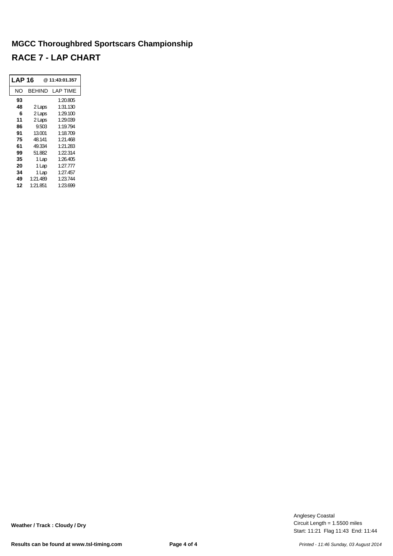| LAP 16 |          | @11:43:01.357 |  |  |
|--------|----------|---------------|--|--|
| NΟ     | BEHIND   | LAP TIME      |  |  |
| 93     |          | 1:20.805      |  |  |
| 48     | 2 Laps   | 1:31.130      |  |  |
| 6      | 2 Laps   | 1:29.100      |  |  |
| 11     | 2 Laps   | 1:29.039      |  |  |
| 86     | 9.503    | 1:19.794      |  |  |
| 91     | 13.001   | 1:18.709      |  |  |
| 75     | 48.141   | 1:21.468      |  |  |
| 61     | 49.334   | 1:21.283      |  |  |
| 99     | 51.882   | 1:22.314      |  |  |
| 35     | 1 Lap    | 1:26.405      |  |  |
| 20     | 1 Lap    | 1:27.777      |  |  |
| 34     | 1 Lap    | 1:27.457      |  |  |
| 49     | 1:21.489 | 1:23.744      |  |  |
| 12     | 1:21.851 | 1:23.699      |  |  |

Start: 11:21 Flag 11:43 End: 11:44 Circuit Length = 1.5500 miles Anglesey Coastal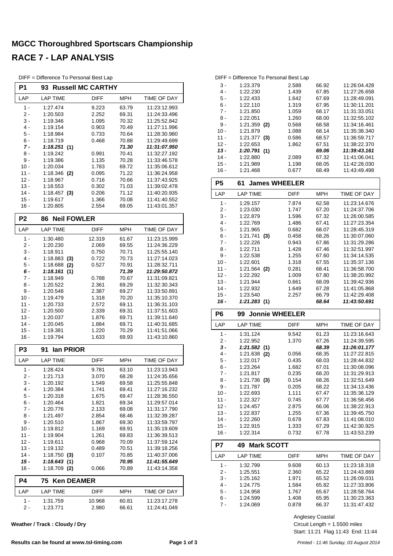|  | DIFF = Difference To Personal Best Lap |  |  |  |  |
|--|----------------------------------------|--|--|--|--|
|--|----------------------------------------|--|--|--|--|

| P1               | 93                         | <b>Russell MC CARTHY</b> |                |                              |
|------------------|----------------------------|--------------------------|----------------|------------------------------|
| LAP              | <b>LAP TIME</b>            | DIFF                     | MPH            | TIME OF DAY                  |
| $1 -$            | 1:27.474                   | 9.223                    | 63.79          | 11:23:12.993                 |
| 2 -              | 1:20.503                   | 2.252                    | 69.31          | 11:24:33.496                 |
| 3 -              | 1:19.346                   | 1.095                    | 70.32          | 11:25:52.842                 |
| 4 -              | 1:19.154                   | 0.903                    | 70.49          | 11:27:11.996                 |
| 5 -<br>6 -       | 1:18.984<br>1:18.719       | 0.733<br>0.468           | 70.64<br>70.88 | 11:28:30.980<br>11:29:49.699 |
| $7 -$            | 1:18.251(1)                |                          | 71.30          | 11:31:07.950                 |
| 8 -              | 1:19.242                   | 0.991                    | 70.41          | 11:32:27.192                 |
| 9 -              | 1:19.386                   | 1.135                    | 70.28          | 11:33:46.578                 |
| $10 -$           | 1:20.034                   | 1.783                    | 69.72          | 11:35:06.612                 |
| 11 -             | 1:18.346 (2)               | 0.095                    | 71.22          | 11:36:24.958                 |
| $12 -$           | 1:18.967                   | 0.716                    | 70.66          | 11:37:43.925                 |
| $13 -$           | 1:18.553                   | 0.302                    | 71.03          | 11:39:02.478                 |
| $14 -$<br>$15 -$ | $1:18.457$ (3)<br>1:19.617 | 0.206<br>1.366           | 71.12<br>70.08 | 11:40:20.935<br>11:41:40.552 |
| 16 -             | 1:20.805                   | 2.554                    | 69.05          | 11:43:01.357                 |
| P <sub>2</sub>   | <b>Neil FOWLER</b><br>86   |                          |                |                              |
| LAP              | <b>LAP TIME</b>            | <b>DIFF</b>              | <b>MPH</b>     | TIME OF DAY                  |
| $1 -$            | 1:30.480                   | 12.319                   | 61.67          | 11:23:15.999                 |
| 2 -              | 1:20.230                   | 2.069                    | 69.55          | 11:24:36.229                 |
| 3 -              | 1:18.911                   | 0.750                    | 70.71          | 11:25:55.140                 |
| 4 -              | 1:18.883<br>(3)            | 0.722                    | 70.73          | 11:27:14.023                 |
| 5 -              | 1:18.688<br>(2)            | 0.527                    | 70.91          | 11:28:32.711                 |
| 6 -              | 1:18.161<br>(1)            |                          | 71.39          | 11:29:50.872                 |
| 7 -              | 1:18.949                   | 0.788                    | 70.67          | 11:31:09.821                 |
| 8 -              | 1:20.522                   | 2.361                    | 69.29          | 11:32:30.343                 |
| 9 -<br>$10 -$    | 1:20.548<br>1:19.479       | 2.387<br>1.318           | 69.27<br>70.20 | 11:33:50.891<br>11:35:10.370 |
| 11 -             | 1:20.733                   | 2.572                    | 69.11          | 11:36:31.103                 |
| $12 -$           | 1:20.500                   | 2.339                    | 69.31          | 11:37:51.603                 |
| $13 -$           | 1:20.037                   | 1.876                    | 69.71          | 11:39:11.640                 |
| $14 -$           | 1:20.045                   | 1.884                    | 69.71          | 11:40:31.685                 |
| $15 -$           | 1:19.381                   | 1.220                    | 70.29          | 11:41:51.066                 |
| 16 -             | 1:19.794                   | 1.633                    | 69.93          | 11:43:10.860                 |
| P <sub>3</sub>   | lan PRIOR<br>91            |                          |                |                              |
| LAP              | <b>LAP TIME</b>            | DIFF                     | <b>MPH</b>     | TIME OF DAY                  |
| $1 -$            | 1:28.424                   | 9.781                    | 63.10          | 11:23:13.943                 |
| $2 -$            | 1:21.713                   | 3.070                    | 68.28          | 11:24:35.656                 |
| 3 -<br>4 -       | 1:20.192<br>1:20.384       | 1.549                    | 69.58          | 11:25:55.848                 |
| $5 -$            | 1:20.318                   | 1.741<br>1.675           | 69.41<br>69.47 | 11:27:16.232<br>11:28:36.550 |
| 6 -              | 1:20.464                   | 1.821                    | 69.34          | 11:29:57.014                 |
| $7 -$            | 1:20.776                   | 2.133                    | 69.08          | 11:31:17.790                 |
| 8 -              | 1:21.497                   | 2.854                    | 68.46          | 11:32:39.287                 |
| 9 -              | 1:20.510                   | 1.867                    | 69.30          | 11:33:59.797                 |
| $10 -$           | 1:19.812                   | 1.169                    | 69.91          | 11:35:19.609                 |
| 11 -             | 1:19.904                   | 1.261                    | 69.83          | 11:36:39.513                 |
| $12 -$           | 1:19.611                   | 0.968                    | 70.09          | 11:37:59.124                 |
| 13 -<br>$14 -$   | 1:19.132<br>$1:18.750$ (3) | 0.489<br>0.107           | 70.51<br>70.85 | 11:39:18.256<br>11:40:37.006 |
| 15 -             | 1:18.643(1)                |                          | 70.95          | 11:41:55.649                 |
| 16 -             | $1:18.709$ (2)             | 0.066                    | 70.89          | 11:43:14.358                 |
| P4               | 75<br><b>Ken DEAMER</b>    |                          |                |                              |
| LAP              | <b>LAP TIME</b>            | DIFF                     | MPH            | TIME OF DAY                  |
| 1 -              | 1:31.759                   | 10.968                   | 60.81          | 11:23:17.278                 |
| 2 -              | 1:23.771                   | 2.980                    | 66.61          | 11:24:41.049                 |

**Weather / Track : Cloudy / Dry**

|        | DIFF = Difference To Personal Best Lap |       |       |              |
|--------|----------------------------------------|-------|-------|--------------|
| 3 -    | 1:23.379                               | 2.588 | 66.92 | 11:26:04.428 |
| 4 -    | 1:22.230                               | 1.439 | 67.85 | 11:27:26.658 |
| $5 -$  | 1:22.433                               | 1.642 | 67.69 | 11.28.49.091 |
| 6 -    | 1:22.110                               | 1.319 | 67.95 | 11:30:11.201 |
| 7 -    | 1:21.850                               | 1.059 | 68.17 | 11:31:33.051 |
| 8 -    | 1:22.051                               | 1.260 | 68.00 | 11:32:55.102 |
| 9 -    | $1:21.359$ (2)                         | 0.568 | 68.58 | 11:34:16.461 |
| $10 -$ | 1:21.879                               | 1.088 | 68.14 | 11:35:38.340 |
| $11 -$ | $1:21.377$ (3)                         | 0.586 | 68.57 | 11:36:59.717 |
| $12 -$ | 1:22.653                               | 1.862 | 67.51 | 11:38:22.370 |
| 13 -   | 1:20.791(1)                            |       | 69.06 | 11:39:43.161 |
| $14 -$ | 1:22.880                               | 2.089 | 67.32 | 11.41.06.041 |
| $15 -$ | 1:21.989                               | 1.198 | 68.05 | 11:42:28.030 |
| 16 -   | 1:21.468                               | 0.677 | 68.49 | 11:43:49.498 |

| <b>P5</b>      | <b>James WHEELER</b><br>61 |             |            |                    |
|----------------|----------------------------|-------------|------------|--------------------|
| LAP            | <b>LAP TIME</b>            | <b>DIFF</b> | <b>MPH</b> | TIME OF DAY        |
| $1 -$          | 1:29.157                   | 7.874       | 62.58      | 11:23:14.676       |
| $2 -$          | 1:23.030                   | 1.747       | 67.20      | 11:24:37.706       |
| $3 -$          | 1:22.879                   | 1.596       | 67.32      | 11:26:00.585       |
| $4 -$          | 1:22.769                   | 1.486       | 67.41      | 11:27:23.354       |
| $5 -$          | 1:21.965                   | 0.682       | 68.07      | 11:28:45.319       |
| $6 -$          | 1:21.741<br>(3)            | 0.458       | 68.26      | 11:30:07.060       |
| $7 -$          | 1:22.226                   | 0.943       | 67.86      | 11:31:29.286       |
| 8 -            | 1:22.711                   | 1.428       | 67.46      | 11:32:51.997       |
| $9 -$          | 1:22.538                   | 1.255       | 67.60      | 11:34:14.535       |
| $10 -$         | 1:22.601                   | 1.318       | 67.55      | 11:35:37.136       |
| $11 -$         | $1:21.564$ (2)             | 0.281       | 68.41      | 11:36:58.700       |
| $12 -$         | 1:22.292                   | 1.009       | 67.80      | 11:38:20.992       |
| $13 -$         | 1:21.944                   | 0.661       | 68.09      | 11:39:42.936       |
| $14 -$         | 1:22.932                   | 1.649       | 67.28      | 11:41:05.868       |
| $15 -$         | 1:23.540                   | 2.257       | 66.79      | 11:42:29.408       |
| $16 -$         | 1:21.283(1)                |             | 68.64      | 11:43:50.691       |
| P <sub>6</sub> | 99 Jonnie WHEELER          |             |            |                    |
| LAP            | <b>LAP TIME</b>            | <b>DIFF</b> | <b>MPH</b> | TIME OF DAY        |
| $1 -$          | 1:31.124                   | 9.542       | 61.23      | 11:23:16.643       |
| $2 -$          | 1:22.952                   | 1.370       | 67.26      | 11:24:39.595       |
| $3 -$          | 1:21.582(1)                |             | 68.39      | 11:26:01.177       |
| $4 -$          | $1:21.638$ (2)             | 0.056       | 68.35      | 11:27:22.815       |
| $5 -$          | 1:22.017                   | 0.435       | 68.03      | 11:28:44.832       |
| 6 -            | 1:23.264                   | 1.682       | 67.01      | 11:30:08.096       |
| $7 -$          | 1:21.817                   | 0.235       | 68.20      | 11:31:29.913       |
| $8 -$          | 1:21.736<br>(3)            | 0.154       | 68.26      | 11:32:51.649       |
| $9 -$          | 1:21.787                   | 0.205       | 68.22      | 11:34:13.436       |
| $10 -$         | 1:22.693                   | 1.111       | 67.47      | 11:35:36.129       |
| $11 -$         | 1:22.327                   | 0.745       | 67.77      | 11:36:58.456       |
| $12 -$         | 1:24.457                   | 2.875       | 66.06      | 11:38:22.913       |
| $13 -$         | 1:22.837                   | 1.255       | 67.36      | 11:39:45.750       |
| $14 -$         | 1:22.260                   | 0.678       | 67.83      | 11:41:08.010       |
| $15 -$         | 1:22.915                   | 1.333       | 67.29      | 11:42:30.925       |
| $16 -$         | 1:22.314                   | 0.732       | 67.78      | 11:43:53.239       |
| P7             | <b>Mark SCOTT</b><br>49    |             |            |                    |
| LAP            | <b>LAP TIME</b>            | <b>DIFF</b> | <b>MPH</b> | <b>TIME OF DAY</b> |
|                |                            | 9.608       | 60.13      | 11:23:18.318       |

| LAP   | <b>LAP TIME</b> | <b>DIFF</b> | <b>MPH</b> | <b>TIME OF DAY</b> |
|-------|-----------------|-------------|------------|--------------------|
| 1 -   | 1:32.799        | 9.608       | 60.13      | 11:23:18.318       |
| 2 -   | 1:25.551        | 2.360       | 65.22      | 11:24:43.869       |
| 3 -   | 1:25.162        | 1.971       | 65.52      | 11:26:09.031       |
| 4 -   | 1:24.775        | 1.584       | 65.82      | 11:27:33.806       |
| $5 -$ | 1:24.958        | 1.767       | 65.67      | 11:28:58.764       |
| 6 -   | 1:24.599        | 1.408       | 65.95      | 11:30:23.363       |
| 7 -   | 1:24.069        | 0.878       | 66.37      | 11:31:47.432       |

Circuit Length = 1.5500 miles Anglesey Coastal

Start: 11:21 Flag 11:43 End: 11:44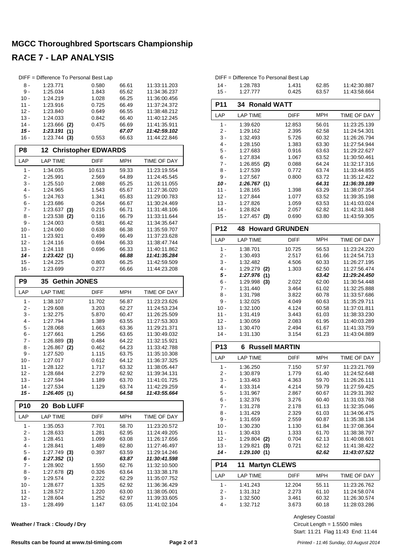|                  | DIFF = Difference To Personal Best Lap |                            |                |                              |
|------------------|----------------------------------------|----------------------------|----------------|------------------------------|
| 8 -              | 1:23.771                               | 0.580                      | 66.61          | 11:33:11.203                 |
| 9 -              | 1:25.034                               | 1.843                      | 65.62          | 11:34:36.237                 |
| $10 -$           | 1:24.219                               | 1.028                      | 66.25          | 11:36:00.456                 |
| 11 -             | 1:23.916                               | 0.725                      | 66.49          | 11:37:24.372                 |
| $12 -$           | 1:23.840                               | 0.649                      | 66.55          | 11:38:48.212                 |
| $13 -$           | 1:24.033                               | 0.842                      | 66.40          | 11:40:12.245                 |
| $14 -$<br>$15 -$ | 1:23.666<br>(2)<br>1:23.191<br>(1)     | 0.475                      | 66.69<br>67.07 | 11:41:35.911<br>11:42:59.102 |
| 16 -             | $1:23.744$ (3)                         | 0.553                      | 66.63          | 11:44:22.846                 |
|                  |                                        |                            |                |                              |
| P <sub>8</sub>   | 12                                     | <b>Christopher EDWARDS</b> |                |                              |
| LAP              | <b>LAP TIME</b>                        | <b>DIFF</b>                | MPH            | TIME OF DAY                  |
| $1 -$            | 1:34.035                               | 10.613                     | 59.33          | 11:23:19.554                 |
| $2 -$            | 1:25.991                               | 2.569                      | 64.89          | 11:24:45.545                 |
| 3 -              | 1:25.510                               | 2.088                      | 65.25          | 11:26:11.055                 |
| 4 -              | 1:24.965                               | 1.543                      | 65.67          | 11:27:36.020                 |
| 5 -              | 1:24.763                               | 1.341                      | 65.83          | 11:29:00.783                 |
| 6 -              | 1:23.686                               | 0.264                      | 66.67          | 11:30:24.469                 |
| $7 -$            | 1:23.637<br>(3)                        | 0.215                      | 66.71          | 11:31:48.106                 |
| 8 -              | 1:23.538<br>(2)                        | 0.116                      | 66.79          | 11:33:11.644                 |
| 9 -<br>$10 -$    | 1:24.003                               | 0.581                      | 66.42          | 11:34:35.647                 |
| $11 -$           | 1:24.060<br>1:23.921                   | 0.638<br>0.499             | 66.38<br>66.49 | 11:35:59.707<br>11:37:23.628 |
| $12 -$           | 1:24.116                               | 0.694                      | 66.33          | 11:38:47.744                 |
| $13 -$           | 1:24.118                               | 0.696                      | 66.33          | 11:40:11.862                 |
| 14 -             | 1:23.422(1)                            |                            | 66.88          | 11:41:35.284                 |
| $15 -$           | 1:24.225                               | 0.803                      | 66.25          | 11:42:59.509                 |
| $16 -$           | 1:23.699                               | 0.277                      | 66.66          | 11:44:23.208                 |
| P9               | <b>Gethin JONES</b><br>35              |                            |                |                              |
| LAP              | <b>LAP TIME</b>                        | <b>DIFF</b>                | <b>MPH</b>     | TIME OF DAY                  |
|                  |                                        |                            |                |                              |
|                  |                                        |                            |                |                              |
| $1 -$            | 1:38.107                               | 11.702                     | 56.87          | 11:23:23.626                 |
| 2 -              | 1:29.608                               | 3.203                      | 62.27          | 11:24:53.234                 |
| $3 -$            | 1:32.275                               | 5.870                      | 60.47          | 11:26:25.509                 |
| 4 -<br>5 -       | 1:27.794<br>1:28.068                   | 1.389<br>1.663             | 63.55<br>63.36 | 11:27:53.303<br>11:29:21.371 |
| 6 -              | 1:27.661                               | 1.256                      | 63.65          | 11:30:49.032                 |
| 7 -              | 1:26.889<br>(3)                        | 0.484                      | 64.22          | 11:32:15.921                 |
| 8 -              | 1:26.867<br>(2)                        | 0.462                      | 64.23          | 11:33:42.788                 |
| 9 -              | 1:27.520                               | 1.115                      | 63.75          | 11:35:10.308                 |
| $10 -$           | 1:27.017                               | 0.612                      | 64.12          | 11:36:37.325                 |
| $11 -$           | 1:28.122                               | 1.717                      | 63.32          | 11:38:05.447                 |
| $12 -$           | 1:28.684                               | 2.279                      | 62.92          | 11:39:34.131                 |
| 13 -             | 1:27.594                               | 1.189                      | 63.70          | 11:41:01.725                 |
| $14 -$<br>$15 -$ | 1:27.534<br>1:26.405(1)                | 1.129                      | 63.74<br>64.58 | 11:42:29.259<br>11:43:55.664 |
|                  |                                        |                            |                |                              |
| P <sub>10</sub>  | 20<br><b>Bob LUFF</b>                  |                            |                |                              |
| LAP              | <b>LAP TIME</b>                        | DIFF                       | MPH            | TIME OF DAY                  |
| $1 -$            | 1:35.053                               | 7.701                      | 58.70          | 11:23:20.572                 |
| 2 -              | 1:28.633                               | 1.281                      | 62.95          | 11:24:49.205                 |
| 3 -              | 1:28.451<br>1:28.841                   | 1.099<br>1.489             | 63.08<br>62.80 | 11:26:17.656<br>11:27:46.497 |
| $4 -$<br>$5 -$   | $1:27.749$ (3)                         | 0.397                      | 63.59          | 11:29:14.246                 |
| 6 -              | 1:27.352(1)                            |                            | 63.87          | 11:30:41.598                 |
| $7 -$            | 1:28.902                               | 1.550                      | 62.76          | 11:32:10.500                 |
| 8 -              | 1:27.678 (2)                           | 0.326                      | 63.64          | 11:33:38.178                 |
| 9 -              | 1:29.574                               | 2.222                      | 62.29          | 11:35:07.752                 |
| $10 -$           | 1:28.677                               | 1.325                      | 62.92          | 11:36:36.429                 |
| $11 -$           | 1:28.572                               | 1.220                      | 63.00          | 11:38:05.001                 |
| $12 -$<br>$13 -$ | 1:28.604<br>1:28.499                   | 1.252<br>1.147             | 62.97<br>63.05 | 11:39:33.605<br>11:41:02.104 |

**Weather / Track : Cloudy / Dry**

|        | DIFF = Difference To Personal Best Lap |       |       |              |
|--------|----------------------------------------|-------|-------|--------------|
| $14 -$ | 1:28.783                               | 1.431 | 62.85 | 11:42:30.887 |
| $15 -$ | 1:27.777                               | 0.425 | 63.57 | 11:43:58.664 |

| <b>P11</b> | 34 Ronald WATT           |             |       |              |
|------------|--------------------------|-------------|-------|--------------|
| LAP        | <b>LAP TIME</b>          | <b>DIFF</b> | MPH   | TIME OF DAY  |
| $1 -$      | 1:39.620                 | 12.853      | 56.01 | 11.23.25.139 |
| $2 -$      | 1:29.162                 | 2.395       | 62.58 | 11:24:54.301 |
| $3 -$      | 1:32.493                 | 5.726       | 60.32 | 11:26:26.794 |
| $4 -$      | 1:28.150                 | 1.383       | 63.30 | 11:27:54.944 |
| $5 -$      | 1:27.683                 | 0.916       | 63.63 | 11:29:22.627 |
| $6 -$      | 1:27.834                 | 1.067       | 63.52 | 11:30:50.461 |
| $7 -$      | $1:26.855$ (2)           | 0.088       | 64.24 | 11:32:17.316 |
| $8 -$      | 1:27.539                 | 0.772       | 63.74 | 11:33:44.855 |
| 9 -        | 1:27.567                 | 0.800       | 63.72 | 11:35:12.422 |
| 10 -       | 1:26.767(1)              |             | 64.31 | 11:36:39.189 |
| $11 -$     | 1:28.165                 | 1.398       | 63.29 | 11:38:07.354 |
| $12 -$     | 1:27.844                 | 1.077       | 63.52 | 11:39:35.198 |
| $13 -$     | 1:27.826                 | 1.059       | 63.53 | 11:41:03.024 |
| $14 -$     | 1:28.824                 | 2.057       | 62.82 | 11:42:31.848 |
| $15 -$     | 1:27.457 (3)             | 0.690       | 63.80 | 11:43:59.305 |
| <b>P12</b> | <b>48 Howard GRUNDEN</b> |             |       |              |
| LAP        | <b>LAP TIME</b>          | <b>DIFF</b> | MPH   | TIME OF DAY  |
| 1 -        | 1:38.701                 | 10.725      | 56.53 | 11:23:24.220 |

| P14             | 11<br><b>Martyn CLEWS</b>   |               |                        |                                       |
|-----------------|-----------------------------|---------------|------------------------|---------------------------------------|
| $14 -$          | 1:29.100(1)                 |               | 62.62                  | 11:43:07.522                          |
| $13 -$          | 1:29.821<br>(3)             | 0.721         | 62.12                  | 11:41:38.422                          |
| $12 -$          | 1:29.804<br>(2)             | 0.704         | 62.13                  | 11:40:08.601                          |
| $11 -$          | 1:30.433                    | 1.333         | 61.70                  | 11:38:38.797                          |
| $10 -$          | 1:30.230                    | 1.130         | 61.84                  | 11:37:08.364                          |
| $9 -$           | 1:31.659                    | 2.559         | 60.87                  | 11:35:38.134                          |
| $8 -$           | 1:31.429                    | 2.329         | 61.03                  | 11:34:06.475                          |
| $7 -$           | 1:31.278                    | 2.178         | 61.13                  | 11:32:35.046                          |
| $6 -$           | 1:32.376                    | 3.276         | 60.40                  | 11:31:03.768                          |
| $5 -$           | 1:31.967                    | 2.867         | 60.67                  | 11:29:31.392                          |
| $4 -$           | 1:33.314                    | 4.214         | 59.79                  | 11:27:59.425                          |
| $3 -$           | 1:33.463                    | 4.363         | 59.70                  | 11:26:26.111                          |
| $2 -$           | 1:30.879                    | 1.779         | 61.40                  | 11:24:52.648                          |
| $1 -$           | 1:36.250                    | 7.150         | 57.97                  | 11:23:21.769                          |
| LAP             | <b>LAP TIME</b>             | <b>DIFF</b>   | <b>MPH</b>             | <b>TIME OF DAY</b>                    |
| P <sub>13</sub> | <b>Russell MARTIN</b><br>6. |               |                        |                                       |
| $14 -$          | 1:31.130                    | 3.154         | 61.23                  | 11:43:04.889                          |
| $13 -$          | 1:30.470                    | 2.494         | 61.67                  | 11:41:33.759                          |
| $12 -$          | 1:30.059                    | 2.083         | 61.95                  | 11:40:03.289                          |
| $11 -$          | 1:31.419                    | 3.443         | 61.03                  | 11:38:33.230                          |
| $10 -$          | 1:32.100                    | 4.124         | 60.58                  | 11:37:01.811                          |
| $9 -$           | 1:32.025                    | 4.049         | 60.63                  | 11:35:29.711                          |
| $8 -$           | 1:31.798                    | 3.822         | 60.78                  | 11:33:57.686                          |
| $7 -$           | 1:31.440                    | 3.464         | 61.02                  | 11:32:25.888                          |
| $6 -$           | 1:29.998<br>(3)             | 2.022         | 62.00                  | 11:30:54.448                          |
| 5 -             | 1:27.976<br>(1)             |               | 63.42                  | 11:29:24.450                          |
| $4 -$           | 1:29.279<br>(2)             | 1.303         | 62.50                  | 11:27:56.474                          |
| $3 -$           | 1:32.482                    | 4.506         | 60.33                  | 11:26:27.195                          |
| $2 -$           | 1:30.493                    | 2.517         | 61.66                  | 11:24:54.713                          |
| LAP<br>$1 -$    | LAP TIME<br>1:38.701        | பாட<br>10.725 | <b>IVIF H</b><br>56.53 | <b>I IIVIE OF DAT</b><br>11:23:24.220 |

| Г I 4. | <b>II MAILYII ULEVYJ</b> |             |       |              |
|--------|--------------------------|-------------|-------|--------------|
| I AP   | LAP TIME                 | <b>DIFF</b> | MPH   | TIME OF DAY  |
| 1 -    | 1:41.243                 | 12.204      | 55.11 | 11:23:26.762 |
| $2 -$  | 1:31.312                 | 2.273       | 61.10 | 11:24:58.074 |
| 3 -    | 1:32.500                 | 3.461       | 60.32 | 11:26:30.574 |
| 4.     | 1:32.712                 | 3.673       | 60.18 | 11:28:03.286 |

Circuit Length = 1.5500 miles Anglesey Coastal

Start: 11:21 Flag 11:43 End: 11:44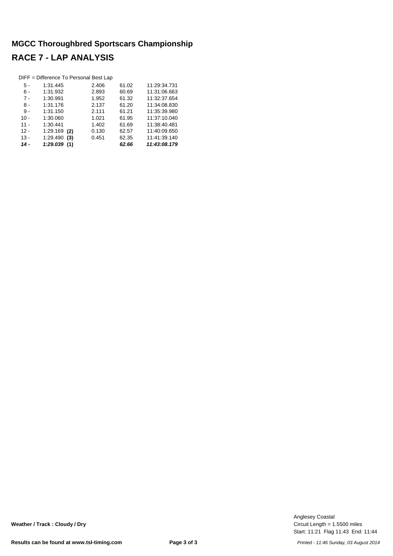|        | DIFF = Difference To Personal Best Lap |       |       |              |
|--------|----------------------------------------|-------|-------|--------------|
| 5 -    | 1:31.445                               | 2.406 | 61.02 | 11:29:34.731 |
| 6 -    | 1:31.932                               | 2.893 | 60.69 | 11:31:06.663 |
| $7 -$  | 1:30.991                               | 1.952 | 61.32 | 11:32:37.654 |
| 8 -    | 1:31.176                               | 2.137 | 61.20 | 11:34:08.830 |
| 9 -    | 1:31.150                               | 2.111 | 61.21 | 11:35:39.980 |
| $10 -$ | 1:30.060                               | 1.021 | 61.95 | 11:37:10.040 |
| $11 -$ | 1:30.441                               | 1.402 | 61.69 | 11:38:40.481 |
| $12 -$ | $1:29.169$ (2)                         | 0.130 | 62.57 | 11:40:09.650 |
| $13 -$ | 1:29.490<br>(3)                        | 0.451 | 62.35 | 11:41:39.140 |
| $14 -$ | 1:29.039<br>(1)                        |       | 62.66 | 11:43:08.179 |

Start: 11:21 Flag 11:43 End: 11:44 Circuit Length = 1.5500 miles Anglesey Coastal

**Weather / Track : Cloudy / Dry**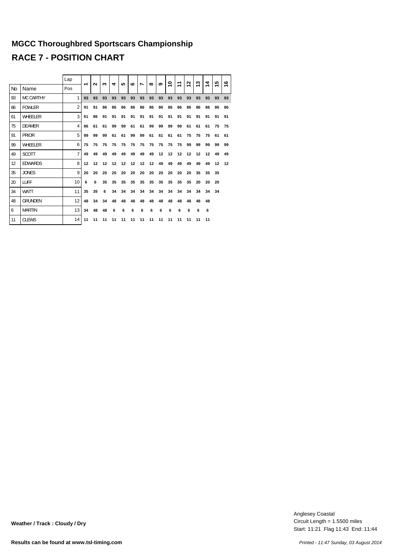|                |                  | Lap            |    | $\sim$ | ო  | ෑ  | <b>SC</b> | $\mathbf{c}$ |                | $\infty$ |    | Ş  | ᠇  | N  | ω  | 4  | 5  | ဖ  |
|----------------|------------------|----------------|----|--------|----|----|-----------|--------------|----------------|----------|----|----|----|----|----|----|----|----|
| N <sub>0</sub> | Name             | Pos            | ↽  |        |    |    |           |              | $\overline{ }$ |          | ග  |    | ↽  | ↽  | ↽  | ↽  | ↽  | ↽  |
| 93             | <b>MC CARTHY</b> | 1              | 93 | 93     | 93 | 93 | 93        | 93           | 93             | 93       | 93 | 93 | 93 | 93 | 93 | 93 | 93 | 93 |
| 86             | <b>FOWLER</b>    | $\overline{2}$ | 91 | 91     | 86 | 86 | 86        | 86           | 86             | 86       | 86 | 86 | 86 | 86 | 86 | 86 | 86 | 86 |
| 61             | WHEELER          | 3              | 61 | 86     | 91 | 91 | 91        | 91           | 91             | 91       | 91 | 91 | 91 | 91 | 91 | 91 | 91 | 91 |
| 75             | <b>DEAMER</b>    | 4              | 86 | 61     | 61 | 99 | 99        | 61           | 61             | 99       | 99 | 99 | 99 | 61 | 61 | 61 | 75 | 75 |
| 91             | PRIOR            | 5              | 99 | 99     | 99 | 61 | 61        | 99           | 99             | 61       | 61 | 61 | 61 | 75 | 75 | 75 | 61 | 61 |
| 99             | WHEELER          | 6              | 75 | 75     | 75 | 75 | 75        | 75           | 75             | 75       | 75 | 75 | 75 | 99 | 99 | 99 | 99 | 99 |
| 49             | <b>SCOTT</b>     | $\overline{7}$ | 49 | 49     | 49 | 49 | 49        | 49           | 49             | 49       | 12 | 12 | 12 | 12 | 12 | 12 | 49 | 49 |
| 12             | <b>EDWARDS</b>   | 8              | 12 | 12     | 12 | 12 | 12        | 12           | 12             | 12       | 49 | 49 | 49 | 49 | 49 | 49 | 12 | 12 |
| 35             | <b>JONES</b>     | 9              | 20 | 20     | 20 | 20 | 20        | 20           | 20             | 20       | 20 | 20 | 20 | 20 | 35 | 35 | 35 |    |
| 20             | <b>LUFF</b>      | 10             | 6  | 6      | 35 | 35 | 35        | 35           | 35             | 35       | 35 | 35 | 35 | 35 | 20 | 20 | 20 |    |
| 34             | <b>WATT</b>      | 11             | 35 | 35     | 6  | 34 | 34        | 34           | 34             | 34       | 34 | 34 | 34 | 34 | 34 | 34 | 34 |    |
| 48             | <b>GRUNDEN</b>   | 12             | 48 | 34     | 34 | 48 | 48        | 48           | 48             | 48       | 48 | 48 | 48 | 48 | 48 | 48 |    |    |
| 6              | <b>MARTIN</b>    | 13             | 34 | 48     | 48 | 6  | 6         | 6            | 6              | 6        | 6  | 6  | 6  | 6  | 6  | 6  |    |    |
| 11             | <b>CLEWS</b>     | 14             | 11 | 11     | 11 | 11 | 11        | 11           | 11             | 11       | 11 | 11 | 11 | 11 | 11 | 11 |    |    |

Start: 11:21 Flag 11:43 End: 11:44 Circuit Length = 1.5500 miles Anglesey Coastal

**Weather / Track : Cloudy / Dry**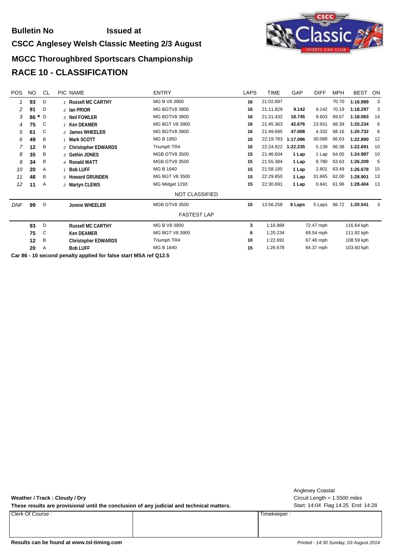#### **Bulletin No Issued at**

#### **CSCC Anglesey Welsh Classic Meeting 2/3 August**



#### **MGCC Thoroughbred Sportscars Championship RACE 10 - CLASSIFICATION**

| <b>NO</b> | CL            | PIC NAME                   | <b>ENTRY</b>         | <b>LAPS</b>    | TIME      | GAP      | <b>DIFF</b>                      | <b>MPH</b>                                       | <b>BEST</b> | ON                                                   |
|-----------|---------------|----------------------------|----------------------|----------------|-----------|----------|----------------------------------|--------------------------------------------------|-------------|------------------------------------------------------|
| 93        | D             | 1 Russell MC CARTHY        | MG B V8 3900         | 16             | 21:02.687 |          |                                  | 70.70                                            | 1:16.989    | 3                                                    |
| 91        | D             | 2 Ian PRIOR                | <b>MG BGTV8 3900</b> | 16             | 21:11.829 | 9.142    | 9.142                            | 70.19                                            | 1:18.297    | 3                                                    |
| 86        | D             | 3 Neil FOWLER              | <b>MG BGTV8 3900</b> | 16             | 21:21.432 | 18.745   | 9.603                            | 69.67                                            | 1:18.083    | 14                                                   |
| 75        | C             | 1 Ken DEAMER               | MG BGT V8 3900       | 16             | 21:45.363 | 42.676   | 23.931                           | 68.39                                            | 1:20.234    | 6                                                    |
| 61        | C             | 2 James WHEELER            | <b>MG BGTV8 3900</b> | 16             | 21:49.695 | 47.008   | 4.332                            | 68.16                                            | 1:20.732    | 6                                                    |
| 49        | Β             | 1 Mark SCOTT               | MG B 1950            | 16             | 22:19.783 | 1:17.096 | 30.088                           | 66.63                                            | 1:22.890    | 12                                                   |
| 12        | B             | 2 Christopher EDWARDS      | Triumph TR4          | 16             | 22:24.922 | 1:22.235 | 5.139                            | 66.38                                            | 1:22.691    | 10                                                   |
| 35        | Β             | 3 Gethin JONES             | <b>MGB GTV8 3500</b> | 15             | 21:46.604 | 1 Lap    | 1 Lap                            | 64.05                                            | 1:24.987    | 10                                                   |
| 34        | Β             | 4 Ronald WATT              | <b>MGB GTV8 3500</b> | 15             | 21:55.384 | 1 Lap    | 8.780                            | 63.63                                            | 1:26.209    | 5                                                    |
| 20        | Α             | 1 Bob LUFF                 | MG B 1840            | 15             | 21:58.185 | 1 Lap    | 2.801                            | 63.49                                            | 1:26.678    | 15                                                   |
| 48        | B             | 5 Howard GRUNDEN           | MG BGT V8 3500       | 15             | 22:29.850 | 1 Lap    | 31.665                           | 62.00                                            | 1:28.901    | 13                                                   |
| 11        | Α             | 2 Martyn CLEWS             | MG Midget 1293       | 15             | 22:30.691 | 1 Lap    | 0.841                            | 61.96                                            | 1:28.404    | 13                                                   |
|           |               |                            | NOT CLASSIFIED       |                |           |          |                                  |                                                  |             |                                                      |
| 99        | D             | <b>Jonnie WHEELER</b>      | <b>MGB GTV8 3500</b> | 10             | 13:56.258 | 6 Laps   | 5 Laps                           | 66.72                                            | 1:20.541    | 3                                                    |
|           |               |                            | <b>FASTEST LAP</b>   |                |           |          |                                  |                                                  |             |                                                      |
| 93        | D             | <b>Russell MC CARTHY</b>   | MG B V8 3900         | 3              |           |          |                                  |                                                  |             |                                                      |
| 75        | C             | <b>Ken DEAMER</b>          | MG BGT V8 3900       | 6              |           |          |                                  |                                                  |             |                                                      |
| 12        | B             | <b>Christopher EDWARDS</b> | Triumph TR4          | 10             | 1:22.691  |          |                                  |                                                  |             |                                                      |
| 20        | Α             | <b>Bob LUFF</b>            | MG B 1840            | 15             |           |          |                                  |                                                  |             |                                                      |
|           | $\sim$ $\sim$ | $\star$                    |                      | $\blacksquare$ |           |          | 1:16.989<br>1:20.234<br>1:26.678 | 72.47 mph<br>69.54 mph<br>67.48 mph<br>64.37 mph |             | 116.64 kph<br>111.92 kph<br>108.59 kph<br>103.60 kph |

**Car 86 - 10 second penalty applied for false start MSA ref Q12.5**

**Weather / Track : Cloudy / Dry**

These results are provisional until the conclusion of any judicial and technical matters. Start: 14:04 Flag 14:25 End: 14:28

Clerk Of Course : Timekeeper :

Circuit Length = 1.5500 miles Anglesey Coastal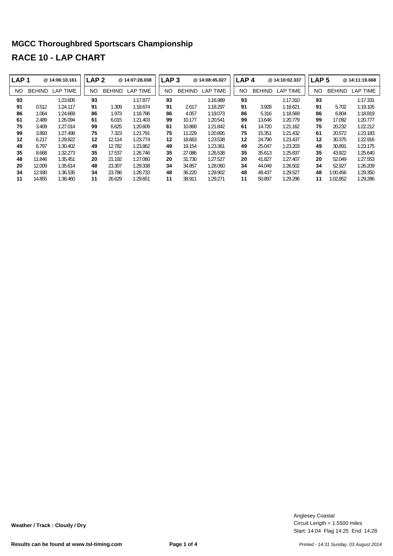| LAP <sub>1</sub> |               | @14:06:10.161   | LAP <sub>2</sub> |               | @ 14:07:28.038  | LAP <sub>3</sub> |               | @ 14:08:45.027 | LAP <sub>4</sub> |               | @14:10:02.337   | LAP <sub>5</sub> |               | @14:11:19.668   |
|------------------|---------------|-----------------|------------------|---------------|-----------------|------------------|---------------|----------------|------------------|---------------|-----------------|------------------|---------------|-----------------|
| NO.              | <b>BEHIND</b> | <b>LAP TIME</b> | NO.              | <b>BEHIND</b> | <b>LAP TIME</b> | NO.              | <b>BEHIND</b> | LAP TIME       | NO.              | <b>BEHIND</b> | <b>LAP TIME</b> | NO               | <b>BEHIND</b> | <b>LAP TIME</b> |
| 93               |               | 1:23.605        | 93               |               | 1:17.877        | 93               |               | 1:16.989       | 93               |               | 1:17.310        | 93               |               | 1:17.331        |
| 91               | 0.512         | 1:24.117        | 91               | 1.309         | 1:18.674        | 91               | 2.617         | 1:18.297       | 91               | 3.928         | 1:18.621        | 91               | 5.702         | 1:19.105        |
| 86               | 1.064         | 1:24.669        | 86               | 1.973         | 1:18.786        | 86               | 4.057         | 1:19.073       | 86               | 5.316         | 1:18.569        | 86               | 6.804         | 1:18.819        |
| 61               | 2.489         | 1:26.094        | 61               | 6.015         | 1:21.403        | 99               | 10.177        | 1:20.541       | 99               | 13.646        | 1:20.779        | 99               | 17.092        | 1:20.777        |
| 75               | 3.409         | 1:27.014        | 99               | 6.625         | 1:20.609        | 61               | 10.868        | 1:21.842       | 61               | 14.720        | 1:21.162        | 75               | 20.232        | 1:22.212        |
| 99               | 3.893         | 1:27.498        | 75               | 7.323         | 1:21.791        | 75               | 11.229        | 1:20.895       | 75               | 15.351        | 1:21.432        | 61               | 20.572        | 1:23.183        |
| 12               | 6.217         | 1:29.822        | 12               | 12.114        | 1:23.774        | 12               | 18.663        | 1:23.538       | 12               | 24.790        | 1:23.437        | $12 \,$          | 30.375        | 1:22.916        |
| 49               | 6.797         | 1:30.402        | 49               | 12.782        | 1:23.862        | 49               | 19.154        | 1:23.361       | 49               | 25.047        | 1:23.203        | 49               | 30.891        | 1:23.175        |
| 35               | 8.668         | 1:32.273        | 35               | 17.537        | 1:26.746        | 35               | 27.086        | 1:26.538       | 35               | 35.613        | 1:25.837        | 35               | 43.922        | 1:25.640        |
| 48               | 11.846        | 1:35.451        | 20               | 21.192        | 1:27.060        | 20               | 31.730        | 1:27.527       | 20               | 41.827        | 1:27.407        | 20               | 52.049        | 1:27.553        |
| 20               | 12.009        | 1:35.614        | 48               | 23.307        | 1:29.338        | 34               | 34.857        | 1:28.060       | 34               | 44.049        | 1:26.502        | 34               | 52.927        | 1:26.209        |
| 34               | 12.930        | 1:36.535        | 34               | 23.786        | 1:28.733        | 48               | 36.220        | 1:29.902       | 48               | 48.437        | 1:29.527        | 48               | 1:00.456      | 1:29.350        |
| 11               | 14.855        | 1:38.460        | 11               | 26.629        | 1:29.651        | 11               | 38.911        | 1:29.271       | 11               | 50.897        | 1:29.296        | 11               | 1:02.852      | 1:29.286        |

Start: 14:04 Flag 14:25 End: 14:28 Circuit Length = 1.5500 miles Anglesey Coastal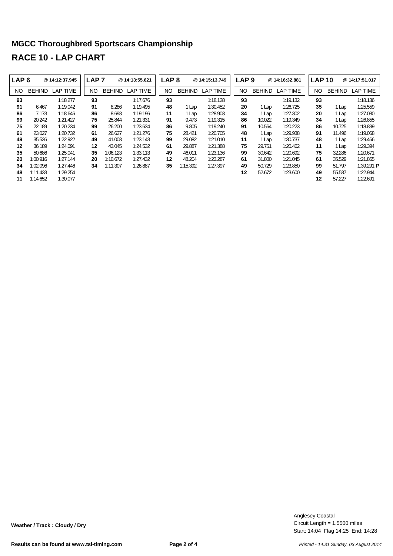| LAP <sub>6</sub> |               | @ 14:12:37.945  | LAP <sub>7</sub> |               | @ 14:13:55.621 | LAP <sub>8</sub> |               | @ 14:15:13.749  | LAP <sub>9</sub> |        | @14:16:32.881   | <b>LAP 10</b> |               | @14:17:51.017           |
|------------------|---------------|-----------------|------------------|---------------|----------------|------------------|---------------|-----------------|------------------|--------|-----------------|---------------|---------------|-------------------------|
| NO.              | <b>BEHIND</b> | <b>LAP TIME</b> | NO.              | <b>BEHIND</b> | LAP TIME       | NO.              | <b>BEHIND</b> | <b>LAP TIME</b> | <b>NO</b>        | BEHIND | <b>LAP TIME</b> | NO.           | <b>BEHIND</b> | <b>LAP TIME</b>         |
| 93               |               | 1:18.277        | 93               |               | 1:17.676       | 93               |               | 1:18.128        | 93               |        | 1:19.132        | 93            |               | 1:18.136                |
| 91               | 6.467         | 1:19.042        | 91               | 8.286         | 1:19.495       | 48               | 1 Lap         | 1:30.452        | 20               | Lap    | 1:26.725        | 35            | l Lap         | 1:25.559                |
| 86               | 7.173         | 1:18.646        | 86               | 8.693         | 1:19.196       | 11               | 1 Lap         | 1:28.903        | 34               | Lap    | 1:27.302        | 20            | 1 Lap         | 1:27.080                |
| 99               | 20.242        | 1:21.427        | 75               | 25.844        | 1:21.331       | 91               | 9.473         | 1:19.315        | 86               | 10.022 | 1:19.349        | 34            | 1 Lap         | 1:26.855                |
| 75               | 22.189        | 1:20.234        | 99               | 26.200        | 1:23.634       | 86               | 9.805         | 1:19.240        | 91               | 10.564 | 1:20.223        | 86            | 10.725        | 1:18.839                |
| 61               | 23.027        | 1:20.732        | 61               | 26.627        | 1:21.276       | 75               | 28.421        | 1:20.705        | 48               | Lap    | 1:29.938        | 91            | 11.496        | 1:19.068                |
| 49               | 35.536        | 1:22.922        | 49               | 41.003        | 1:23.143       | 99               | 29.082        | 1:21.010        | 11               | Lap    | 1:30.737        | 48            | 1 Lap         | 1:29.466                |
| 12               | 36.189        | 1:24.091        | 12               | 43.045        | 1:24.532       | 61               | 29.887        | 1:21.388        | 75               | 29.751 | 1:20.462        | 11            | 1 Lap         | 1:29.394                |
| 35               | 50.686        | 1:25.041        | 35               | 1:06.123      | 1:33.113       | 49               | 46.011        | 1:23.136        | 99               | 30.642 | 1:20.692        | 75            | 32.286        | 1:20.671                |
| 20               | 1:00.916      | 1:27.144        | 20               | 1:10.672      | 1:27.432       | 12               | 48.204        | 1:23.287        | 61               | 31.800 | 1:21.045        | 61            | 35.529        | 1:21.865                |
| 34               | 1:02.096      | 1:27.446        | 34               | 1:11.307      | 1:26.887       | 35               | 1:15.392      | 1:27.397        | 49               | 50.729 | 1:23.850        | 99            | 51.797        | 1:39.291 $\blacksquare$ |
| 48               | 1:11.433      | 1:29.254        |                  |               |                |                  |               |                 | 12               | 52.672 | 1:23.600        | 49            | 55.537        | 1:22.944                |
| 11               | 1:14.652      | 1:30.077        |                  |               |                |                  |               |                 |                  |        |                 | 12            | 57.227        | 1:22.691                |

Start: 14:04 Flag 14:25 End: 14:28 Circuit Length = 1.5500 miles Anglesey Coastal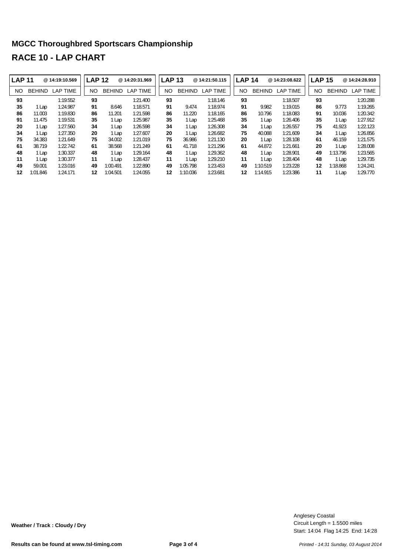| <b>LAP 11</b> |               | @ 14:19:10.569  | <b>LAP 12</b> |               | @ 14:20:31.969  | <b>LAP 13</b> |               | @ 14:21:50.115 |     | <b>LAP 14</b> | @ 14:23:08.622  |    | LAP <sub>15</sub> | @14:24:28.910 |
|---------------|---------------|-----------------|---------------|---------------|-----------------|---------------|---------------|----------------|-----|---------------|-----------------|----|-------------------|---------------|
| NO            | <b>BEHIND</b> | <b>LAP TIME</b> | <b>NO</b>     | <b>BEHIND</b> | <b>LAP TIME</b> | <b>NO</b>     | <b>BEHIND</b> | LAP TIME       | NO. | <b>BEHIND</b> | <b>LAP TIME</b> | NO | <b>BEHIND</b>     | LAP TIME      |
| 93            |               | 1:19.552        | 93            |               | 1:21.400        | 93            |               | 1:18.146       | 93  |               | 1:18.507        | 93 |                   | 1:20.288      |
| 35            | 1 Lap         | 1:24.987        | 91            | 8.646         | 1:18.571        | 91            | 9.474         | 1:18.974       | 91  | 9.982         | 1:19.015        | 86 | 9.773             | 1:19.265      |
| 86            | 11.003        | 1:19.830        | 86            | 11.201        | 1:21.598        | 86            | 11.220        | 1:18.165       | 86  | 10.796        | 1:18.083        | 91 | 10.036            | 1:20.342      |
| 91            | 11.475        | 1:19.531        | 35            | 1 Lap         | 1:25.987        | 35            | 1 Lap         | 1:25.468       | 35  | 1 Lap         | 1:26.406        | 35 | 1 Lap             | 1:27.912      |
| 20            | 1 Lap         | 1:27.560        | 34            | 1 Lap         | 1:26.598        | 34            | 1 Lap         | 1:26.308       | 34  | 1 Lap         | 1:26.557        | 75 | 41.923            | 1:22.123      |
| 34            | 1 Lap         | 1:27.350        | 20            | 1 Lap         | 1:27.607        | 20            | 1 Lap         | 1:26.682       | 75  | 40.088        | 1:21.609        | 34 | 1 Lap             | 1:26.856      |
| 75            | 34.383        | 1:21.649        | 75            | 34.002        | 1:21.019        | 75            | 36.986        | 1:21.130       | 20  | 1 Lap         | 1:28.108        | 61 | 46.159            | 1:21.575      |
| 61            | 38.719        | 1:22.742        | 61            | 38.568        | 1:21.249        | 61            | 41.718        | 1:21.296       | 61  | 44.872        | 1:21.661        | 20 | 1 Lap             | 1:28.008      |
| 48            | 1 Lap         | 1:30.337        | 48            | 1 Lap         | 1:29.164        | 48            | 1 Lap         | 1:29.362       | 48  | 1 Lap         | 1:28.901        | 49 | 1:13.796          | 1:23.565      |
| 11            | 1 Lap         | 1:30.377        | 11            | 1 Lap         | 1:28.437        | 11            | 1 Lap         | 1:29.210       | 11  | 1 Lap         | 1:28.404        | 48 | 1 Lap             | 1:29.735      |
| 49            | 59.001        | 1:23.016        | 49            | 1:00.491      | 1:22.890        | 49            | 1:05.798      | 1:23.453       | 49  | 1:10.519      | 1:23.228        | 12 | 1:18.868          | 1:24.241      |
| 12            | 1:01.846      | 1:24.171        | 12            | 1:04.501      | 1:24.055        | 12            | 1:10.036      | 1:23.681       | 12  | 1:14.915      | 1:23.386        | 11 | 1 Lap             | 1:29.770      |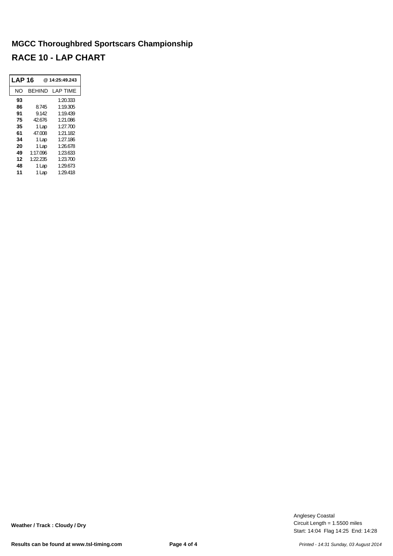| LAP 16 |          | @ 14:25:49.243 |
|--------|----------|----------------|
| NΟ     | BEHIND   | LAP TIME       |
| 93     |          | 1:20.333       |
| 86     | 8.745    | 1:19.305       |
| 91     | 9.142    | 1:19.439       |
| 75     | 42.676   | 1:21.086       |
| 35     | 1 Lap    | 1:27.700       |
| 61     | 47.008   | 1:21.182       |
| 34     | 1 Lap    | 1:27.186       |
| 20     | 1 Lap    | 1:26.678       |
| 49     | 1:17.096 | 1:23.633       |
| 12     | 1:22.235 | 1:23.700       |
| 48     | 1 Lap    | 1:29.673       |
| 11     | Lap      | 1:29.418       |

Start: 14:04 Flag 14:25 End: 14:28 Circuit Length = 1.5500 miles Anglesey Coastal

**Weather / Track : Cloudy / Dry**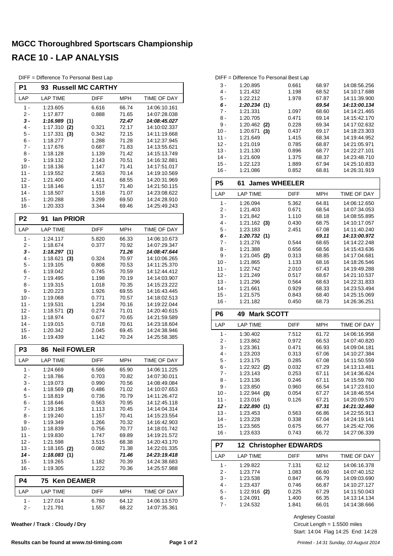| DIFF = Difference To Personal Best Lap |  |  |  |  |  |  |
|----------------------------------------|--|--|--|--|--|--|
|----------------------------------------|--|--|--|--|--|--|

| P <sub>1</sub>   | 93                          | <b>Russell MC CARTHY</b> |                |                              |
|------------------|-----------------------------|--------------------------|----------------|------------------------------|
| LAP              | <b>LAP TIME</b>             | DIFF                     | <b>MPH</b>     | TIME OF DAY                  |
| $1 -$            | 1:23.605                    | 6.616                    | 66.74          | 14:06:10.161                 |
| 2 -              | 1:17.877                    | 0.888                    | 71.65          | 14:07:28.038                 |
| 3 -              | 1:16.989(1)                 |                          | 72.47          | 14:08:45.027                 |
| 4 -              | 1:17.310<br>(2)             | 0.321                    | 72.17          | 14:10:02.337                 |
| 5 -<br>6 -       | 1:17.331<br>(3)             | 0.342<br>1.288           | 72.15<br>71.28 | 14:11:19.668<br>14:12:37.945 |
| 7 -              | 1:18.277<br>1:17.676        | 0.687                    | 71.83          | 14:13:55.621                 |
| 8 -              | 1:18.128                    | 1.139                    | 71.42          | 14:15:13.749                 |
| 9 -              | 1:19.132                    | 2.143                    | 70.51          | 14:16:32.881                 |
| $10 -$           | 1:18.136                    | 1.147                    | 71.41          | 14:17:51.017                 |
| $11 -$           | 1:19.552                    | 2.563                    | 70.14          | 14:19:10.569                 |
| $12 -$           | 1:21.400                    | 4.411                    | 68.55          | 14:20:31.969                 |
| $13 -$           | 1:18.146                    | 1.157                    | 71.40          | 14:21:50.115                 |
| $14 -$           | 1:18.507                    | 1.518                    | 71.07          | 14:23:08.622                 |
| $15 -$           | 1:20.288                    | 3.299                    | 69.50          | 14:24:28.910                 |
| 16 -             | 1:20.333                    | 3.344                    | 69.46          | 14:25:49.243                 |
| P <sub>2</sub>   | lan PRIOR<br>91             |                          |                |                              |
| LAP              | <b>LAP TIME</b>             | DIFF                     | <b>MPH</b>     | <b>TIME OF DAY</b>           |
| $1 -$            | 1:24.117                    | 5.820                    | 66.33          | 14:06:10.673                 |
| 2 -              | 1:18.674                    | 0.377                    | 70.92          | 14:07:29.347                 |
| 3 -<br>4 -       | 1:18.297(1)                 |                          | 71.26<br>70.97 | 14:08:47.644<br>14:10:06.265 |
| 5 -              | 1:18.621<br>(3)<br>1:19.105 | 0.324<br>0.808           | 70.53          | 14:11:25.370                 |
| 6 -              | 1:19.042                    | 0.745                    | 70.59          | 14:12:44.412                 |
| 7 -              | 1:19.495                    | 1.198                    | 70.19          | 14:14:03.907                 |
| 8 -              | 1:19.315                    | 1.018                    | 70.35          | 14:15:23.222                 |
| 9 -              | 1:20.223                    | 1.926                    | 69.55          | 14:16:43.445                 |
| $10 -$           | 1:19.068                    | 0.771                    | 70.57          | 14:18:02.513                 |
| 11 -             | 1:19.531                    | 1.234                    | 70.16          | 14:19:22.044                 |
| $12 -$           | 1:18.571<br>(2)             | 0.274                    | 71.01          | 14:20:40.615                 |
| $13 -$           | 1:18.974                    | 0.677                    | 70.65          | 14:21:59.589                 |
| $14 -$<br>$15 -$ | 1:19.015<br>1:20.342        | 0.718<br>2.045           | 70.61<br>69.45 | 14:23:18.604<br>14:24:38.946 |
| 16 -             | 1:19.439                    | 1.142                    | 70.24          | 14:25:58.385                 |
| P3               | <b>Neil FOWLER</b><br>86    |                          |                |                              |
| LAP              | <b>LAP TIME</b>             | <b>DIFF</b>              | <b>MPH</b>     | TIME OF DAY                  |
| $1 -$            | 1:24.669                    | 6.586                    | 65.90          | 14:06:11.225                 |
| $2 -$            | 1:18.786                    | 0.703                    | 70.82          | 14:07:30.011                 |
| 3 -              | 1:19.073                    | 0.990                    | 70.56          | 14:08:49.084                 |
| 4 -              | $1:18.569$ (3)              | 0.486                    | 71.02          | 14:10:07.653                 |
| $5 -$            | 1:18.819                    | 0.736                    | 70.79          | 14:11:26.472                 |
| 6 -              | 1:18.646                    | 0.563                    | 70.95          | 14:12:45.118                 |
| $7 -$            | 1:19.196                    | 1.113                    | 70.45          | 14:14:04.314                 |
| $8 -$            | 1:19.240                    | 1.157                    | 70.41          | 14:15:23.554                 |
| 9 -              | 1:19.349                    | 1.266                    | 70.32          | 14:16:42.903                 |
| $10 -$           | 1:18.839                    | 0.756                    | 70.77          | 14:18:01.742                 |
| 11 -<br>$12 -$   | 1:19.830                    | 1.747                    | 69.89          | 14:19:21.572                 |
| $13 -$           | 1:21.598<br>1:18.165<br>(2) | 3.515<br>0.082           | 68.38<br>71.38 | 14:20:43.170<br>14:22:01.335 |
| 14 -             | 1:18.083<br>(1)             |                          | 71.46          | 14:23:19.418                 |
| $15 -$           | 1:19.265                    | 1.182                    | 70.39          | 14:24:38.683                 |
| $16 -$           | 1:19.305                    | 1.222                    | 70.36          | 14:25:57.988                 |
| P4               | 75<br><b>Ken DEAMER</b>     |                          |                |                              |
| LAP              | <b>LAP TIME</b>             | DIFF                     | MPH            | TIME OF DAY                  |
| $1 -$            | 1:27.014                    | 6.780                    | 64.12          | 14:06:13.570                 |
| $2 -$            | 1:21.791                    | 1.557                    | 68.22          | 14:07:35.361                 |

**Weather / Track : Cloudy / Dry**

|        | DIFF = Difference To Personal Best Lap |       |       |              |
|--------|----------------------------------------|-------|-------|--------------|
| 3 -    | 1:20.895                               | 0.661 | 68.97 | 14:08:56.256 |
| $4 -$  | 1:21.432                               | 1.198 | 68.52 | 14:10:17.688 |
| 5 -    | 1:22.212                               | 1.978 | 67.87 | 14:11:39.900 |
| 6 -    | 1:20.234(1)                            |       | 69.54 | 14:13:00.134 |
| 7 -    | 1:21.331                               | 1.097 | 68.60 | 14:14:21.465 |
| 8 -    | 1:20.705                               | 0.471 | 69.14 | 14:15:42.170 |
| 9 -    | $1:20.462$ (2)                         | 0.228 | 69.34 | 14:17:02.632 |
| $10 -$ | 1:20.671<br>(3)                        | 0.437 | 69.17 | 14:18:23.303 |
| $11 -$ | 1:21.649                               | 1.415 | 68.34 | 14:19:44.952 |
| $12 -$ | 1:21.019                               | 0.785 | 68.87 | 14:21:05.971 |
| $13 -$ | 1:21.130                               | 0.896 | 68.77 | 14:22:27.101 |
| $14 -$ | 1:21.609                               | 1.375 | 68.37 | 14:23:48.710 |
| $15 -$ | 1:22.123                               | 1.889 | 67.94 | 14:25:10.833 |
|        |                                        |       |       |              |

| 16 -      | 1:21.086                         | 0.852       | 68.81      | 14:26:31.919 |
|-----------|----------------------------------|-------------|------------|--------------|
| <b>P5</b> | <b>James WHEELER</b><br>61       |             |            |              |
| LAP       | <b>LAP TIME</b>                  | <b>DIFF</b> | MPH        | TIME OF DAY  |
| $1 -$     | 1:26.094                         | 5.362       | 64.81      | 14:06:12.650 |
| $2 -$     | 1:21.403                         | 0.671       | 68.54      | 14:07:34.053 |
| $3 -$     | 1:21.842                         | 1.110       | 68.18      | 14:08:55.895 |
| $4 -$     | $1:21.162$ (3)                   | 0.430       | 68.75      | 14:10:17.057 |
| 5 -       | 1:23.183                         | 2.451       | 67.08      | 14:11:40.240 |
| $6 -$     | 1:20.732(1)                      |             | 69.11      | 14:13:00.972 |
| $7 -$     | 1:21.276                         | 0.544       | 68.65      | 14:14:22.248 |
| 8 -       | 1:21.388                         | 0.656       | 68.56      | 14:15:43.636 |
| $9 -$     | $1:21.045$ (2)                   | 0.313       | 68.85      | 14:17:04.681 |
| $10 -$    | 1:21.865                         | 1.133       | 68.16      | 14:18:26.546 |
| $11 -$    | 1:22.742                         | 2.010       | 67.43      | 14:19:49.288 |
| $12 -$    | 1:21.249                         | 0.517       | 68.67      | 14:21:10.537 |
| $13 -$    | 1:21.296                         | 0.564       | 68.63      | 14:22:31.833 |
| $14 -$    | 1:21.661                         | 0.929       | 68.33      | 14:23:53.494 |
| $15 -$    | 1:21.575                         | 0.843       | 68.40      | 14:25:15.069 |
| $16 -$    | 1:21.182                         | 0.450       | 68.73      | 14:26:36.251 |
| P6        | <b>Mark SCOTT</b><br>49          |             |            |              |
| LAP       | <b>LAP TIME</b>                  | <b>DIFF</b> | <b>MPH</b> | TIME OF DAY  |
| $1 -$     | 1:30.402                         | 7.512       | 61.72      | 14:06:16.958 |
| $2 -$     | 1:23.862                         | 0.972       | 66.53      | 14:07:40.820 |
| 3 -       | 1:23.361                         | 0.471       | 66.93      | 14:09:04.181 |
| $4 -$     | 1:23.203                         | 0.313       | 67.06      | 14:10:27.384 |
| 5 -       | 1:23.175                         | 0.285       | 67.08      | 14:11:50.559 |
| $6 -$     | 1:22.922 (2)                     | 0.032       | 67.29      | 14:13:13.481 |
| $7 -$     | 1:23.143                         | 0.253       | 67.11      | 14:14:36.624 |
| 8 -       | 1:23.136                         | 0.246       | 67.11      | 14:15:59.760 |
| 9 -       | 1:23.850                         | 0.960       | 66.54      | 14:17:23.610 |
| $10 -$    | 1:22.944 (3)                     | 0.054       | 67.27      | 14:18:46.554 |
| $11 -$    | 1:23.016                         | 0.126       | 67.21      | 14:20:09.570 |
| 12 -      | 1:22.890 (1)                     |             | 67.31      | 14:21:32.460 |
| $13 -$    | 1:23.453                         | 0.563       | 66.86      | 14:22:55.913 |
| $14 -$    | 1:23.228                         | 0.338       | 67.04      | 14:24:19.141 |
| $15 -$    | 1:23.565                         | 0.675       | 66.77      | 14:25:42.706 |
| $16 -$    | 1:23.633                         | 0.743       | 66.72      | 14:27:06.339 |
| P7        | <b>Christopher EDWARDS</b><br>12 |             |            |              |
| LAP       | <b>LAP TIME</b>                  | <b>DIFF</b> | <b>MPH</b> | TIME OF DAY  |
| 1 -       | 1:29.822                         | 7.131       | 62.12      | 14:06:16.378 |
| $\sim$    | 1.23771                          | 1 QR3       | GG GN      | 11.07.10.152 |

| LAP   | LAP TIME       | <b>DIFF</b> | <b>MPH</b> | <b>TIME OF DAY</b> |
|-------|----------------|-------------|------------|--------------------|
| 1 -   | 1:29.822       | 7.131       | 62.12      | 14:06:16.378       |
| $2 -$ | 1:23.774       | 1.083       | 66.60      | 14:07:40.152       |
| 3 -   | 1:23.538       | 0.847       | 66.79      | 14:09:03.690       |
| 4 -   | 1:23.437       | 0.746       | 66.87      | 14:10:27.127       |
| 5 -   | $1:22.916$ (2) | 0.225       | 67.29      | 14:11:50.043       |
| ჩ -   | 1:24.091       | 1.400       | 66.35      | 14:13:14.134       |
| 7 -   | 1:24.532       | 1.841       | 66.01      | 14:14:38.666       |

Start: 14:04 Flag 14:25 End: 14:28 Circuit Length = 1.5500 miles Anglesey Coastal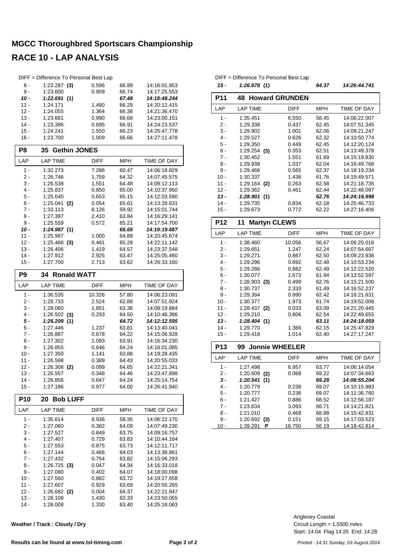| DIFF = Difference To Personal Best Lap |                             |                |                |                              |  |  |  |  |  |  |  |
|----------------------------------------|-----------------------------|----------------|----------------|------------------------------|--|--|--|--|--|--|--|
| 8 -                                    | $1:23.287$ (3)              | 0.596          | 66.99          | 14:16:01.953                 |  |  |  |  |  |  |  |
| 9 -                                    | 1:23.600                    | 0.909          | 66.74          | 14:17:25.553                 |  |  |  |  |  |  |  |
| 10 -                                   | 1:22.691(1)                 |                | 67.48          | 14:18:48.244                 |  |  |  |  |  |  |  |
| 11 -                                   | 1:24.171                    | 1.480          | 66.29          | 14:20:12.415                 |  |  |  |  |  |  |  |
| $12 -$                                 | 1:24.055                    | 1.364          | 66.38          | 14:21:36.470                 |  |  |  |  |  |  |  |
| $13 -$                                 | 1:23.681                    | 0.990          | 66.68          | 14:23:00.151                 |  |  |  |  |  |  |  |
| $14 -$                                 | 1:23.386                    | 0.695          | 66.91          | 14:24:23.537                 |  |  |  |  |  |  |  |
| $15 -$<br>$16 -$                       | 1:24.241<br>1:23.700        | 1.550<br>1.009 | 66.23<br>66.66 | 14:25:47.778<br>14:27:11.478 |  |  |  |  |  |  |  |
|                                        |                             |                |                |                              |  |  |  |  |  |  |  |
| P8                                     | <b>Gethin JONES</b><br>35   |                |                |                              |  |  |  |  |  |  |  |
| LAP                                    | <b>LAP TIME</b>             | DIFF           | <b>MPH</b>     | TIME OF DAY                  |  |  |  |  |  |  |  |
| 1 -                                    | 1:32.273                    | 7.286          | 60.47          | 14:06:18.829                 |  |  |  |  |  |  |  |
| 2 -                                    | 1:26.746                    | 1.759          | 64.32          | 14:07:45.575                 |  |  |  |  |  |  |  |
| 3 -                                    | 1:26.538                    | 1.551          | 64.48          | 14:09:12.113                 |  |  |  |  |  |  |  |
| 4 -                                    | 1:25.837                    | 0.850          | 65.00          | 14:10:37.950                 |  |  |  |  |  |  |  |
| 5 -                                    | 1:25.640                    | 0.653          | 65.15          | 14:12:03.590                 |  |  |  |  |  |  |  |
| 6 -                                    | 1:25.041<br>(2)             | 0.054          | 65.61          | 14:13:28.631                 |  |  |  |  |  |  |  |
| $7 -$                                  | 1:33.113                    | 8.126          | 59.92          | 14:15:01.744                 |  |  |  |  |  |  |  |
| 8 -<br>9 -                             | 1:27.397<br>1:25.559        | 2.410          | 63.84<br>65.21 | 14:16:29.141<br>14:17:54.700 |  |  |  |  |  |  |  |
| 10 -                                   | 1:24.987(1)                 | 0.572          | 65.65          | 14:19:19.687                 |  |  |  |  |  |  |  |
| 11 -                                   | 1:25.987                    | 1.000          | 64.89          | 14:20:45.674                 |  |  |  |  |  |  |  |
| $12 -$                                 | 1:25.468<br>(3)             | 0.481          | 65.28          | 14:22:11.142                 |  |  |  |  |  |  |  |
| $13 -$                                 | 1:26.406                    | 1.419          | 64.57          | 14:23:37.548                 |  |  |  |  |  |  |  |
| $14 -$                                 | 1:27.912                    | 2.925          | 63.47          | 14:25:05.460                 |  |  |  |  |  |  |  |
| $15 -$                                 | 1:27.700                    | 2.713          | 63.62          | 14:26:33.160                 |  |  |  |  |  |  |  |
| <b>Ronald WATT</b><br>P9<br>34         |                             |                |                |                              |  |  |  |  |  |  |  |
|                                        |                             |                |                |                              |  |  |  |  |  |  |  |
| LAP                                    | <b>LAP TIME</b>             | DIFF           | MPH            | TIME OF DAY                  |  |  |  |  |  |  |  |
| $1 -$                                  | 1:36.535                    | 10.326         | 57.80          | 14:06:23.091                 |  |  |  |  |  |  |  |
| 2 -                                    | 1:28.733                    | 2.524          | 62.88          | 14:07:51.824                 |  |  |  |  |  |  |  |
| $3 -$                                  | 1:28.060                    | 1.851          | 63.36          | 14:09:19.884                 |  |  |  |  |  |  |  |
| 4 -                                    | $1:26.502$ (3)              | 0.293          | 64.50          | 14:10:46.386                 |  |  |  |  |  |  |  |
| 5 -                                    | 1:26.209 (1)                |                | 64.72          | 14:12:12.595                 |  |  |  |  |  |  |  |
| 6 -                                    | 1:27.446                    | 1.237          | 63.81          | 14:13:40.041<br>14:15:06.928 |  |  |  |  |  |  |  |
| 7 -<br>8 -                             | 1:26.887<br>1:27.302        | 0.678<br>1.093 | 64.22<br>63.91 | 14:16:34.230                 |  |  |  |  |  |  |  |
| 9 -                                    | 1:26.855                    | 0.646          | 64.24          | 14:18:01.085                 |  |  |  |  |  |  |  |
| $10 -$                                 | 1:27.350                    | 1.141          | 63.88          | 14:19:28.435                 |  |  |  |  |  |  |  |
| 11 -                                   | 1:26.598                    | 0.389          | 64.43          | 14:20:55.033                 |  |  |  |  |  |  |  |
| $12 -$                                 | 1:26.308<br>(2)             | 0.099          | 64.65          | 14:22:21.341                 |  |  |  |  |  |  |  |
| 13 -                                   | 1:26.557                    | 0.348          | 64.46          | 14:23:47.898                 |  |  |  |  |  |  |  |
| $14 -$                                 | 1:26.856                    | 0.647          | 64.24          | 14:25:14.754                 |  |  |  |  |  |  |  |
| $15 -$                                 | 1:27.186                    | 0.977          | 64.00          | 14:26:41.940                 |  |  |  |  |  |  |  |
| <b>P10</b>                             | <b>Bob LUFF</b><br>20       |                |                |                              |  |  |  |  |  |  |  |
| LAP                                    | <b>LAP TIME</b>             | <b>DIFF</b>    | <b>MPH</b>     | TIME OF DAY                  |  |  |  |  |  |  |  |
| 1 -                                    | 1:35.614                    | 8.936          | 58.35          | 14:06:22.170                 |  |  |  |  |  |  |  |
| 2 -                                    | 1:27.060                    | 0.382          | 64.09          | 14:07:49.230                 |  |  |  |  |  |  |  |
| $3 -$                                  | 1:27.527                    | 0.849          | 63.75          | 14:09:16.757                 |  |  |  |  |  |  |  |
| 4 -                                    | 1:27.407                    | 0.729          | 63.83          | 14:10:44.164                 |  |  |  |  |  |  |  |
| 5 -                                    | 1:27.553                    | 0.875          | 63.73          | 14:12:11.717                 |  |  |  |  |  |  |  |
| $6 -$                                  | 1:27.144                    | 0.466          | 64.03          | 14:13:38.861                 |  |  |  |  |  |  |  |
| 7 -                                    | 1:27.432                    | 0.754          | 63.82          | 14:15:06.293                 |  |  |  |  |  |  |  |
| $8 -$                                  | $1:26.725$ (3)              | 0.047          | 64.34          | 14:16:33.018                 |  |  |  |  |  |  |  |
| 9 -                                    | 1:27.080                    | 0.402          | 64.07          | 14:18:00.098                 |  |  |  |  |  |  |  |
| $10 -$                                 | 1:27.560                    | 0.882          | 63.72          | 14:19:27.658                 |  |  |  |  |  |  |  |
| $11 -$<br>$12 -$                       | 1:27.607<br>1:26.682<br>(2) | 0.929<br>0.004 | 63.69<br>64.37 | 14:20:55.265<br>14:22:21.947 |  |  |  |  |  |  |  |
| $13 -$                                 | 1:28.108                    | 1.430          | 63.33          | 14:23:50.055                 |  |  |  |  |  |  |  |
|                                        |                             |                |                |                              |  |  |  |  |  |  |  |

| Weather / Track: Cloudy / Dry |
|-------------------------------|
|-------------------------------|

|                                           | DIFF = Difference To Personal Best Lap |                 |                |                              |  |  |  |  |  |  |
|-------------------------------------------|----------------------------------------|-----------------|----------------|------------------------------|--|--|--|--|--|--|
| 15 -                                      | 1:26.678 (1)                           |                 | 64.37          | 14:26:44.741                 |  |  |  |  |  |  |
| <b>P11</b><br><b>Howard GRUNDEN</b><br>48 |                                        |                 |                |                              |  |  |  |  |  |  |
| LAP                                       | <b>LAP TIME</b>                        | <b>DIFF</b>     | <b>MPH</b>     | <b>TIME OF DAY</b>           |  |  |  |  |  |  |
| $1 -$                                     | 1:35.451                               | 6.550           | 58.45          | 14:06:22.007                 |  |  |  |  |  |  |
| 2 -                                       | 1:29.338                               | 0.437           | 62.45          | 14:07:51.345                 |  |  |  |  |  |  |
| 3 -                                       | 1:29.902                               | 1.001           | 62.06          | 14:09:21.247                 |  |  |  |  |  |  |
| $4 -$                                     | 1:29.527                               | 0.626           | 62.32          | 14:10:50.774                 |  |  |  |  |  |  |
| 5 -                                       | 1:29.350                               | 0.449           | 62.45          | 14:12:20.124                 |  |  |  |  |  |  |
| 6 -                                       | $1:29.254$ (3)                         | 0.353           | 62.51          | 14:13:49.378                 |  |  |  |  |  |  |
| 7 -                                       | 1:30.452                               | 1.551           | 61.69          | 14:15:19.830                 |  |  |  |  |  |  |
| 8 -                                       | 1:29.938                               | 1.037           | 62.04          | 14:16:49.768                 |  |  |  |  |  |  |
| 9 -                                       | 1:29.466                               | 0.565           | 62.37          | 14:18:19.234                 |  |  |  |  |  |  |
| $10 -$                                    | 1:30.337                               | 1.436           | 61.76          | 14:19:49.571                 |  |  |  |  |  |  |
| $11 -$                                    | 1:29.164 (2)                           | 0.263           | 62.58          | 14:21:18.735                 |  |  |  |  |  |  |
| $12 -$                                    | 1:29.362                               | 0.461           | 62.44          | 14:22:48.097                 |  |  |  |  |  |  |
| $13 -$                                    | 1:28.901(1)                            |                 | 62.76          | 14:24:16.998                 |  |  |  |  |  |  |
| 14 -                                      | 1:29.735                               | 0.834           | 62.18          | 14:25:46.733                 |  |  |  |  |  |  |
| $15 -$                                    | 1:29.673                               | 0.772           | 62.22          | 14:27:16.406                 |  |  |  |  |  |  |
| <b>P12</b>                                | <b>Martyn CLEWS</b><br>11              |                 |                |                              |  |  |  |  |  |  |
| LAP                                       | <b>LAP TIME</b>                        | <b>DIFF</b>     | MPH            | TIME OF DAY                  |  |  |  |  |  |  |
| $1 -$                                     | 1:38.460                               | 10.056          | 56.67          | 14:06:25.016                 |  |  |  |  |  |  |
| 2 -                                       | 1:29.651                               | 1.247           | 62.24          | 14:07:54.667                 |  |  |  |  |  |  |
| 3 -                                       | 1:29.271                               | 0.867           | 62.50          | 14:09:23.938                 |  |  |  |  |  |  |
| 4 -                                       | 1:29.296                               | 0.892           | 62.48          | 14:10:53.234                 |  |  |  |  |  |  |
| 5 -                                       | 1:29.286                               | 0.882           | 62.49          | 14:12:22.520                 |  |  |  |  |  |  |
| 6 -                                       | 1:30.077                               | 1.673           | 61.94          | 14:13:52.597                 |  |  |  |  |  |  |
| 7 -                                       | $1:28.903$ (3)                         | 0.499           | 62.76          | 14:15:21.500                 |  |  |  |  |  |  |
| 8 -                                       | 1:30.737                               | 2.333           | 61.49          | 14:16:52.237                 |  |  |  |  |  |  |
| 9 -                                       | 1:29.394                               | 0.990           | 62.42          | 14:18:21.631                 |  |  |  |  |  |  |
| $10 -$                                    | 1:30.377                               | 1.973           | 61.74          | 14:19:52.008                 |  |  |  |  |  |  |
| $11 -$                                    | 1:28.437<br>(2)                        | 0.033           | 63.09          | 14:21:20.445                 |  |  |  |  |  |  |
| $12 -$                                    | 1:29.210                               | 0.806           | 62.54          | 14:22:49.655                 |  |  |  |  |  |  |
| $13 -$                                    | 1:28.404(1)                            |                 | 63.11          | 14:24:18.059                 |  |  |  |  |  |  |
| $14 -$                                    | 1:29.770                               | 1.366           | 62.15          | 14:25:47.829                 |  |  |  |  |  |  |
| $15 -$                                    | 1:29.418                               | 1.014           | 62.40          | 14:27:17.247                 |  |  |  |  |  |  |
| <b>Jonnie WHEELER</b><br><b>P13</b><br>99 |                                        |                 |                |                              |  |  |  |  |  |  |
| LAP                                       | <b>LAP TIME</b>                        | <b>DIFF</b>     | <b>MPH</b>     | TIME OF DAY                  |  |  |  |  |  |  |
| $1 -$                                     | 1:27.498                               | 6.957           | 63.77          | 14:06:14.054                 |  |  |  |  |  |  |
| 2 -                                       | $1:20.609$ (2)                         | 0.068           | 69.22          | 14:07:34.663                 |  |  |  |  |  |  |
| 3 -                                       | 1:20.541(1)                            |                 | 69.28          | 14:08:55.204                 |  |  |  |  |  |  |
| $4 -$                                     | 1:20.779                               | 0.238           | 69.07          | 14:10:15.983                 |  |  |  |  |  |  |
| 5 -                                       | 1:20.777                               | 0.236           | 69.07          | 14:11:36.760                 |  |  |  |  |  |  |
| 6 -                                       | 1:21.427                               | 0.886           | 68.52          | 14:12:58.187                 |  |  |  |  |  |  |
| 7 -                                       | 1:23.634                               | 3.093           | 66.71          | 14:14:21.821                 |  |  |  |  |  |  |
| 8 -                                       | 1:21.010                               | 0.469           | 68.88          | 14:15:42.831                 |  |  |  |  |  |  |
|                                           |                                        |                 |                |                              |  |  |  |  |  |  |
| 9 -<br>10 -                               | 1:20.692<br>(3)<br>1:39.291<br>Ρ       | 0.151<br>18.750 | 69.15<br>56.19 | 14:17:03.523<br>14:18:42.814 |  |  |  |  |  |  |

Start: 14:04 Flag 14:25 End: 14:28 Circuit Length = 1.5500 miles Anglesey Coastal